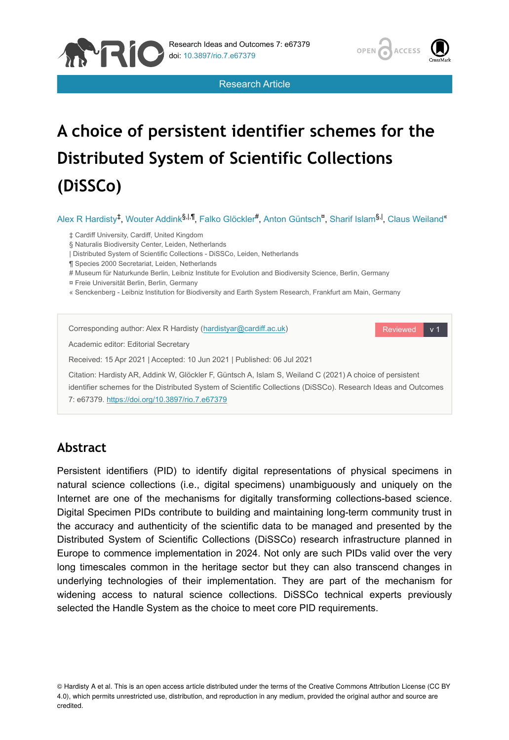

Research Article



# **A choice of persistent identifier schemes for the Distributed System of Scientific Collections (DiSSCo)**

Alex R Hardisty<sup>‡</sup>, Wouter Addink<sup>§,|,¶</sup>, Falko Glöckler<sup>#</sup>, Anton Güntsch<sup>¤</sup>, Sharif Islam<sup>§,|</sup>, Claus Weiland<sup>«</sup>

‡ Cardiff University, Cardiff, United Kingdom

§ Naturalis Biodiversity Center, Leiden, Netherlands

| Distributed System of Scientific Collections - DiSSCo, Leiden, Netherlands

¶ Species 2000 Secretariat, Leiden, Netherlands

# Museum für Naturkunde Berlin, Leibniz Institute for Evolution and Biodiversity Science, Berlin, Germany

¤ Freie Universität Berlin, Berlin, Germany

« Senckenberg - Leibniz Institution for Biodiversity and Earth System Research, Frankfurt am Main, Germany

| Corresponding author: Alex R Hardisty (hardistyar@cardiff.ac.uk)                                                                                                                                                                                                             | Reviewed<br>v <sub>1</sub> |
|------------------------------------------------------------------------------------------------------------------------------------------------------------------------------------------------------------------------------------------------------------------------------|----------------------------|
| Academic editor: Editorial Secretary                                                                                                                                                                                                                                         |                            |
| Received: 15 Apr 2021   Accepted: 10 Jun 2021   Published: 06 Jul 2021                                                                                                                                                                                                       |                            |
| Citation: Hardisty AR, Addink W, Glöckler F, Güntsch A, Islam S, Weiland C (2021) A choice of persistent<br>identifier schemes for the Distributed System of Scientific Collections (DiSSCo). Research Ideas and Outcomes<br>7: e67379. https://doi.org/10.3897/rio.7.e67379 |                            |

# **Abstract**

Persistent identifiers (PID) to identify digital representations of physical specimens in natural science collections (i.e., digital specimens) unambiguously and uniquely on the Internet are one of the mechanisms for digitally transforming collections-based science. Digital Specimen PIDs contribute to building and maintaining long-term community trust in the accuracy and authenticity of the scientific data to be managed and presented by the Distributed System of Scientific Collections (DiSSCo) research infrastructure planned in Europe to commence implementation in 2024. Not only are such PIDs valid over the very long timescales common in the heritage sector but they can also transcend changes in underlying technologies of their implementation. They are part of the mechanism for widening access to natural science collections. DiSSCo technical experts previously selected the Handle System as the choice to meet core PID requirements.

© Hardisty A et al. This is an open access article distributed under the terms of the Creative Commons Attribution License (CC BY 4.0), which permits unrestricted use, distribution, and reproduction in any medium, provided the original author and source are credited.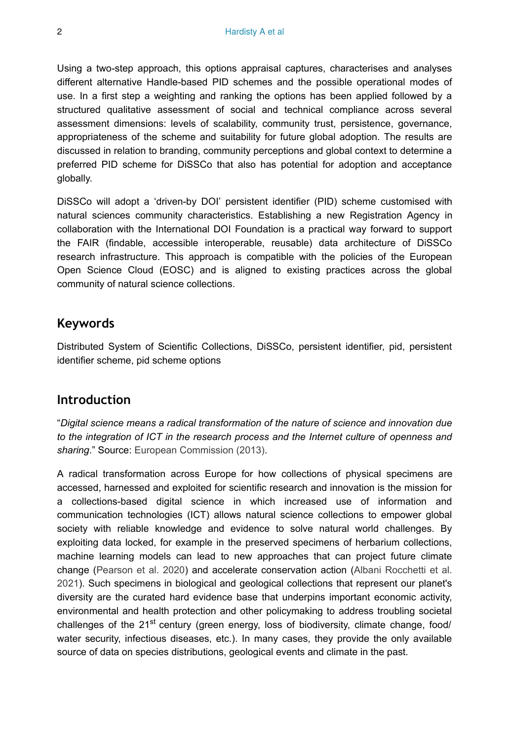Using a two-step approach, this options appraisal captures, characterises and analyses different alternative Handle-based PID schemes and the possible operational modes of use. In a first step a weighting and ranking the options has been applied followed by a structured qualitative assessment of social and technical compliance across several assessment dimensions: levels of scalability, community trust, persistence, governance, appropriateness of the scheme and suitability for future global adoption. The results are discussed in relation to branding, community perceptions and global context to determine a preferred PID scheme for DiSSCo that also has potential for adoption and acceptance globally.

DiSSCo will adopt a 'driven-by DOI' persistent identifier (PID) scheme customised with natural sciences community characteristics. Establishing a new Registration Agency in collaboration with the International DOI Foundation is a practical way forward to support the FAIR (findable, accessible interoperable, reusable) data architecture of DiSSCo research infrastructure. This approach is compatible with the policies of the European Open Science Cloud (EOSC) and is aligned to existing practices across the global community of natural science collections.

# **Keywords**

Distributed System of Scientific Collections, DiSSCo, persistent identifier, pid, persistent identifier scheme, pid scheme options

# **Introduction**

"*Digital science means a radical transformation of the nature of science and innovation due to the integration of ICT in the research process and the Internet culture of openness and sharing*." Source: [European Commission \(2013\)](#page-36-0).

A radical transformation across Europe for how collections of physical specimens are accessed, harnessed and exploited for scientific research and innovation is the mission for a collections-based digital science in which increased use of information and communication technologies (ICT) allows natural science collections to empower global society with reliable knowledge and evidence to solve natural world challenges. By exploiting data locked, for example in the preserved specimens of herbarium collections, machine learning models can lead to new approaches that can project future climate change ([Pearson et al. 2020\)](#page-38-0) and accelerate conservation action ([Albani Rocchetti et al.](#page-36-1) [2021](#page-36-1)). Such specimens in biological and geological collections that represent our planet's diversity are the curated hard evidence base that underpins important economic activity, environmental and health protection and other policymaking to address troubling societal challenges of the 21<sup>st</sup> century (green energy, loss of biodiversity, climate change, food/ water security, infectious diseases, etc.). In many cases, they provide the only available source of data on species distributions, geological events and climate in the past.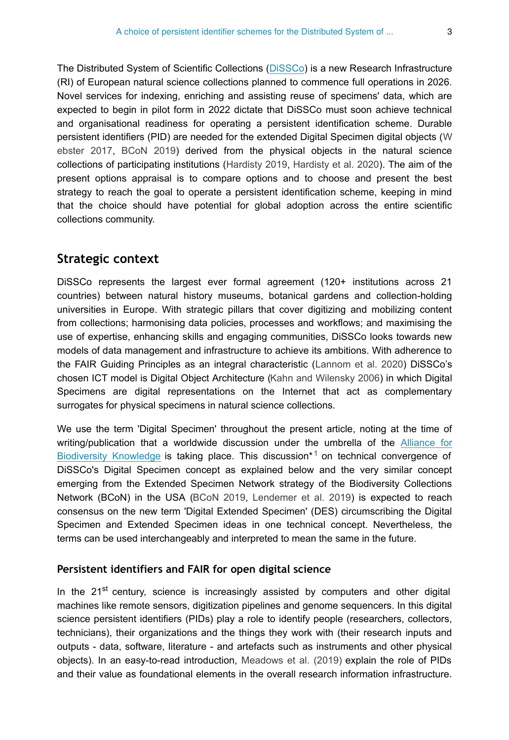The Distributed System of Scientific Collections [\(DiSSCo](https://www.dissco.eu/)) is a new Research Infrastructure (RI) of European natural science collections planned to commence full operations in 2026. Novel services for indexing, enriching and assisting reuse of specimens' data, which are expected to begin in pilot form in 2022 dictate that DiSSCo must soon achieve technical and organisational readiness for operating a persistent identification scheme. Durable persistent identifiers (PID) are needed for the extended Digital Specimen digital objects ([W](#page-38-1) [ebster 2017](#page-38-1), [BCoN 2019](#page-36-2)) derived from the physical objects in the natural science collections of participating institutions ([Hardisty 2019,](#page-37-0) [Hardisty et al. 2020](#page-37-1)). The aim of the present options appraisal is to compare options and to choose and present the best strategy to reach the goal to operate a persistent identification scheme, keeping in mind that the choice should have potential for global adoption across the entire scientific collections community.

## **Strategic context**

DiSSCo represents the largest ever formal agreement (120+ institutions across 21 countries) between natural history museums, botanical gardens and collection-holding universities in Europe. With strategic pillars that cover digitizing and mobilizing content from collections; harmonising data policies, processes and workflows; and maximising the use of expertise, enhancing skills and engaging communities, DiSSCo looks towards new models of data management and infrastructure to achieve its ambitions. With adherence to the FAIR Guiding Principles as an integral characteristic ([Lannom et al. 2020](#page-37-2)) DiSSCo's chosen ICT model is Digital Object Architecture [\(Kahn and Wilensky 2006\)](#page-37-3) in which Digital Specimens are digital representations on the Internet that act as complementary surrogates for physical specimens in natural science collections.

We use the term 'Digital Specimen' throughout the present article, noting at the time of writing/publication that a worldwide discussion under the umbrella of the [Alliance for](https://www.allianceforbio.org/) [Biodiversity Knowledge](https://www.allianceforbio.org/) istaking place. This discussion<sup>\*1</sup> on technical convergence of DiSSCo's Digital Specimen concept as explained below and the very similar concept emerging from the Extended Specimen Network strategy of the Biodiversity Collections Network (BCoN) in the USA [\(BCoN 2019](#page-36-2), [Lendemer et al. 2019](#page-38-2)) is expected to reach consensus on the new term 'Digital Extended Specimen' (DES) circumscribing the Digital Specimen and Extended Specimen ideas in one technical concept. Nevertheless, the terms can be used interchangeably and interpreted to mean the same in the future.

## **Persistent identifiers and FAIR for open digital science**

In the 21<sup>st</sup> century, science is increasingly assisted by computers and other digital machines like remote sensors, digitization pipelines and genome sequencers. In this digital science persistent identifiers (PIDs) play a role to identify people (researchers, collectors, technicians), their organizations and the things they work with (their research inputs and outputs - data, software, literature - and artefacts such as instruments and other physical objects). In an easy-to-read introduction, [Meadows et al. \(2019\)](#page-38-3) explain the role of PIDs and their value as foundational elements in the overall research information infrastructure.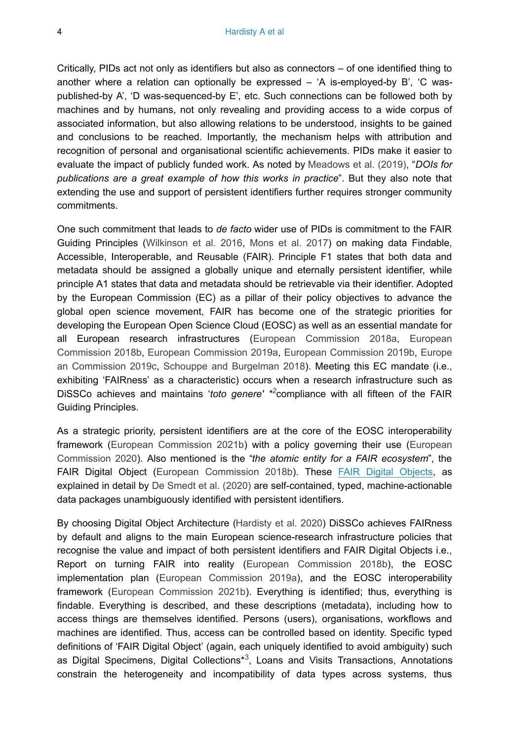Critically, PIDs act not only as identifiers but also as connectors – of one identified thing to another where a relation can optionally be expressed – 'A is-employed-by B', 'C waspublished-by A', 'D was-sequenced-by E', etc. Such connections can be followed both by machines and by humans, not only revealing and providing access to a wide corpus of associated information, but also allowing relations to be understood, insights to be gained and conclusions to be reached. Importantly, the mechanism helps with attribution and recognition of personal and organisational scientific achievements. PIDs make it easier to evaluate the impact of publicly funded work. As noted by [Meadows et al. \(2019\)](#page-38-3), "*DOIs for publications are a great example of how this works in practice*". But they also note that extending the use and support of persistent identifiers further requires stronger community commitments.

One such commitment that leads to *de facto* wider use of PIDs is commitment to the FAIR Guiding Principles [\(Wilkinson et al. 2016,](#page-39-0) [Mons et al. 2017](#page-38-4)) on making data Findable, Accessible, Interoperable, and Reusable (FAIR). Principle F1 states that both data and metadata should be assigned a globally unique and eternally persistent identifier, while principle A1 states that data and metadata should be retrievable via their identifier. Adopted by the European Commission (EC) as a pillar of their policy objectives to advance the global open science movement, FAIR has become one of the strategic priorities for developing the European Open Science Cloud (EOSC) as well as an essential mandate for all European research infrastructures [\(European Commission 2018a,](#page-36-3) [European](#page-36-4) [Commission 2018b](#page-36-4), [European Commission 2019a](#page-37-4), [European Commission 2019b,](#page-37-5) [Europe](#page-37-6) [an Commission 2019c,](#page-37-6) [Schouppe and Burgelman 2018](#page-38-5)). Meeting this EC mandate (i.e., exhibiting 'FAIRness' as a characteristic) occurs when a research infrastructure such as DiSSCo achieves and maintains 'toto genere' \*<sup>[2](#page-40-1)</sup>compliance with all fifteen of the FAIR Guiding Principles.

As a strategic priority, persistent identifiers are at the core of the EOSC interoperability framework ([European Commission 2021b](#page-37-7)) with a policy governing their use [\(European](#page-37-8) [Commission 2020\)](#page-37-8). Also mentioned is the "*the atomic entity for a FAIR ecosystem*", the FAIR Digital Object ([European Commission 2018b\)](#page-36-4). These [FAIR Digital Objects,](https://fairdo.org/) as explained in detail by [De Smedt et al. \(2020\)](#page-36-5) are self-contained, typed, machine-actionable data packages unambiguously identified with persistent identifiers.

By choosing Digital Object Architecture ([Hardisty et al. 2020](#page-37-1)) DiSSCo achieves FAIRness by default and aligns to the main European science-research infrastructure policies that recognise the value and impact of both persistent identifiers and FAIR Digital Objects i.e., Report on turning FAIR into reality [\(European Commission 2018b\)](#page-36-4), the EOSC implementation plan [\(European Commission 2019a\)](#page-37-4), and the EOSC interoperability framework [\(European Commission 2021b\)](#page-37-7). Everything is identified; thus, everything is findable. Everything is described, and these descriptions (metadata), including how to access things are themselves identified. Persons (users), organisations, workflows and machines are identified. Thus, access can be controlled based on identity. Specific typed definitions of 'FAIR Digital Object' (again, each uniquely identified to avoid ambiguity) such as Digital Specimens, Digital Collections<sup>\*3</sup>, Loans and Visits Transactions, Annotations constrain the heterogeneity and incompatibility of data types across systems, thus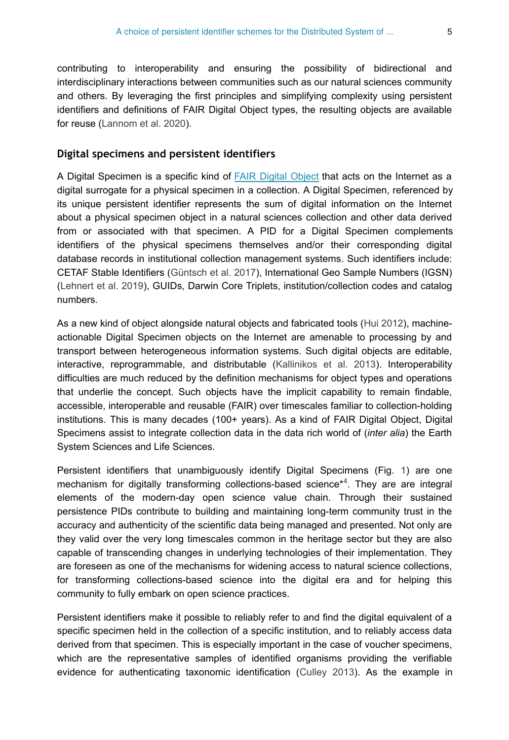contributing to interoperability and ensuring the possibility of bidirectional and interdisciplinary interactions between communities such as our natural sciences community and others. By leveraging the first principles and simplifying complexity using persistent identifiers and definitions of FAIR Digital Object types, the resulting objects are available for reuse [\(Lannom et al. 2020\)](#page-37-2).

#### **Digital specimens and persistent identifiers**

A Digital Specimen is a specific kind of [FAIR Digital Object](https://fairdo.org/) that acts on the Internet as a digital surrogate for a physical specimen in a collection. A Digital Specimen, referenced by its unique persistent identifier represents the sum of digital information on the Internet about a physical specimen object in a natural sciences collection and other data derived from or associated with that specimen. A PID for a Digital Specimen complements identifiers of the physical specimens themselves and/or their corresponding digital database records in institutional collection management systems. Such identifiers include: CETAF Stable Identifiers ([Güntsch et al. 2017](#page-37-9)), International Geo Sample Numbers (IGSN) [\(Lehnert et al. 2019\)](#page-37-10), GUIDs, Darwin Core Triplets, institution/collection codes and catalog numbers.

As a new kind of object alongside natural objects and fabricated tools ([Hui 2012](#page-37-11)), machineactionable Digital Specimen objects on the Internet are amenable to processing by and transport between heterogeneous information systems. Such digital objects are editable, interactive, reprogrammable, and distributable [\(Kallinikos et al. 2013](#page-37-12)). Interoperability difficulties are much reduced by the definition mechanisms for object types and operations that underlie the concept. Such objects have the implicit capability to remain findable, accessible, interoperable and reusable (FAIR) over timescales familiar to collection-holding institutions. This is many decades (100+ years). As a kind of FAIR Digital Object, Digital Specimens assist to integrate collection data in the data rich world of (*inter alia*) the Earth System Sciences and Life Sciences.

Persistent identifiers that unambiguously identify Digital Specimens (Fig. [1\)](#page-5-0) are one mechanism for digitally transforming collections-based science[\\*](#page-40-3)<sup>4</sup>. They are are integral elements of the modern-day open science value chain. Through their sustained persistence PIDs contribute to building and maintaining long-term community trust in the accuracy and authenticity of the scientific data being managed and presented. Not only are they valid over the very long timescales common in the heritage sector but they are also capable of transcending changes in underlying technologies of their implementation. They are foreseen as one of the mechanisms for widening access to natural science collections, for transforming collections-based science into the digital era and for helping this community to fully embark on open science practices.

Persistent identifiers make it possible to reliably refer to and find the digital equivalent of a specific specimen held in the collection of a specific institution, and to reliably access data derived from that specimen. This is especially important in the case of voucher specimens, which are the representative samples of identified organisms providing the verifiable evidence for authenticating taxonomic identification ([Culley 2013](#page-36-6)). As the example in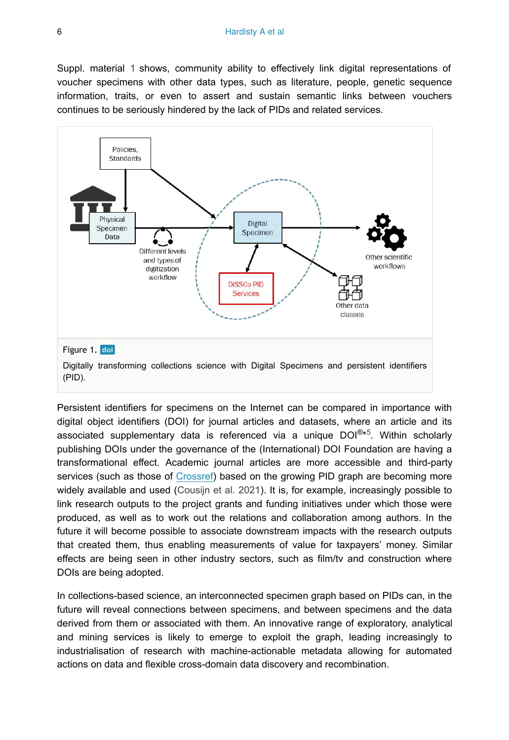Suppl. material [1](#page-39-1) shows, community ability to effectively link digital representations of voucher specimens with other data types, such as literature, people, genetic sequence information, traits, or even to assert and sustain semantic links between vouchers continues to be seriously hindered by the lack of PIDs and related services.

<span id="page-5-0"></span>

Persistent identifiers for specimens on the Internet can be compared in importance with digital object identifiers (DOI) for journal articles and datasets, where an article and its associated supplementary data is referenced via a unique DOI $^{\circledR*5}$ . Within scholarly publishing DOIs under the governance of the (International) DOI Foundation are having a transformational effect. Academic journal articles are more accessible and third-party services (such as those of [Crossref\)](https://www.crossref.org/) based on the growing PID graph are becoming more widely available and used ([Cousijn et al. 2021](#page-36-7)). It is, for example, increasingly possible to link research outputs to the project grants and funding initiatives under which those were produced, as well as to work out the relations and collaboration among authors. In the future it will become possible to associate downstream impacts with the research outputs that created them, thus enabling measurements of value for taxpayers' money. Similar effects are being seen in other industry sectors, such as film/tv and construction where DOIs are being adopted.

In collections-based science, an interconnected specimen graph based on PIDs can, in the future will reveal connections between specimens, and between specimens and the data derived from them or associated with them. An innovative range of exploratory, analytical and mining services is likely to emerge to exploit the graph, leading increasingly to industrialisation of research with machine-actionable metadata allowing for automated actions on data and flexible cross-domain data discovery and recombination.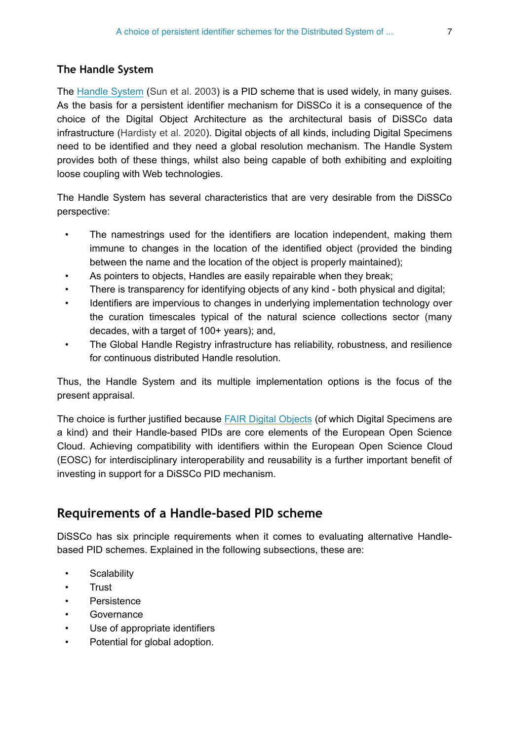#### **The Handle System**

The [Handle System](https://www.dona.net/handle-system) ([Sun et al. 2003\)](#page-38-6) is a PID scheme that is used widely, in many guises. As the basis for a persistent identifier mechanism for DiSSCo it is a consequence of the choice of the Digital Object Architecture as the architectural basis of DiSSCo data infrastructure ([Hardisty et al. 2020](#page-37-1)). Digital objects of all kinds, including Digital Specimens need to be identified and they need a global resolution mechanism. The Handle System provides both of these things, whilst also being capable of both exhibiting and exploiting loose coupling with Web technologies.

The Handle System has several characteristics that are very desirable from the DiSSCo perspective:

- The namestrings used for the identifiers are location independent, making them immune to changes in the location of the identified object (provided the binding between the name and the location of the object is properly maintained);
- As pointers to objects, Handles are easily repairable when they break;
- There is transparency for identifying objects of any kind both physical and digital;
- Identifiers are impervious to changes in underlying implementation technology over the curation timescales typical of the natural science collections sector (many decades, with a target of 100+ years); and,
- The Global Handle Registry infrastructure has reliability, robustness, and resilience for continuous distributed Handle resolution.

Thus, the Handle System and its multiple implementation options is the focus of the present appraisal.

The choice is further justified because [FAIR Digital Objects](https://fairdo.org/) (of which Digital Specimens are a kind) and their Handle-based PIDs are core elements of the European Open Science Cloud. Achieving compatibility with identifiers within the European Open Science Cloud (EOSC) for interdisciplinary interoperability and reusability is a further important benefit of investing in support for a DiSSCo PID mechanism.

# **Requirements of a Handle-based PID scheme**

DiSSCo has six principle requirements when it comes to evaluating alternative Handlebased PID schemes. Explained in the following subsections, these are:

- Scalability
- Trust
- **Persistence**
- **Governance**
- Use of appropriate identifiers
- Potential for global adoption.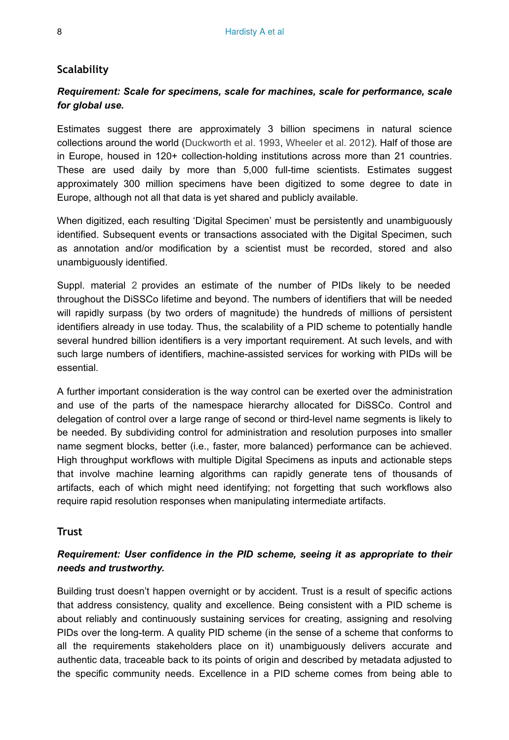#### **Scalability**

## *Requirement: Scale for specimens, scale for machines, scale for performance, scale for global use.*

Estimates suggest there are approximately 3 billion specimens in natural science collections around the world ([Duckworth et al. 1993](#page-36-8), [Wheeler et al. 2012\)](#page-38-7). Half of those are in Europe, housed in 120+ collection-holding institutions across more than 21 countries. These are used daily by more than 5,000 full-time scientists. Estimates suggest approximately 300 million specimens have been digitized to some degree to date in Europe, although not all that data is yet shared and publicly available.

When digitized, each resulting 'Digital Specimen' must be persistently and unambiguously identified. Subsequent events or transactions associated with the Digital Specimen, such as annotation and/or modification by a scientist must be recorded, stored and also unambiguously identified.

Suppl. material [2](#page-39-2) provides an estimate of the number of PIDs likely to be needed throughout the DiSSCo lifetime and beyond. The numbers of identifiers that will be needed will rapidly surpass (by two orders of magnitude) the hundreds of millions of persistent identifiers already in use today. Thus, the scalability of a PID scheme to potentially handle several hundred billion identifiers is a very important requirement. At such levels, and with such large numbers of identifiers, machine-assisted services for working with PIDs will be essential.

A further important consideration is the way control can be exerted over the administration and use of the parts of the namespace hierarchy allocated for DiSSCo. Control and delegation of control over a large range of second or third-level name segments is likely to be needed. By subdividing control for administration and resolution purposes into smaller name segment blocks, better (i.e., faster, more balanced) performance can be achieved. High throughput workflows with multiple Digital Specimens as inputs and actionable steps that involve machine learning algorithms can rapidly generate tens of thousands of artifacts, each of which might need identifying; not forgetting that such workflows also require rapid resolution responses when manipulating intermediate artifacts.

#### **Trust**

## *Requirement: User confidence in the PID scheme, seeing it as appropriate to their needs and trustworthy.*

Building trust doesn't happen overnight or by accident. Trust is a result of specific actions that address consistency, quality and excellence. Being consistent with a PID scheme is about reliably and continuously sustaining services for creating, assigning and resolving PIDs over the long-term. A quality PID scheme (in the sense of a scheme that conforms to all the requirements stakeholders place on it) unambiguously delivers accurate and authentic data, traceable back to its points of origin and described by metadata adjusted to the specific community needs. Excellence in a PID scheme comes from being able to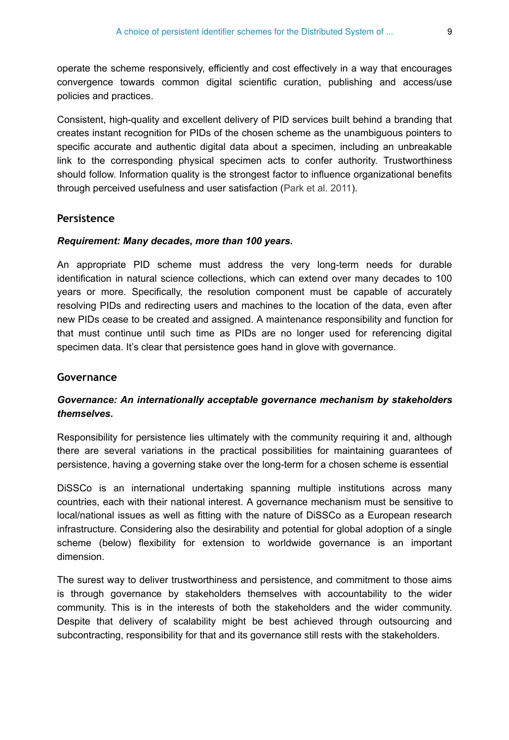operate the scheme responsively, efficiently and cost effectively in a way that encourages convergence towards common digital scientific curation, publishing and access/use policies and practices.

Consistent, high-quality and excellent delivery of PID services built behind a branding that creates instant recognition for PIDs of the chosen scheme as the unambiguous pointers to specific accurate and authentic digital data about a specimen, including an unbreakable link to the corresponding physical specimen acts to confer authority. Trustworthiness should follow. Information quality is the strongest factor to influence organizational benefits through perceived usefulness and user satisfaction ([Park et al. 2011\)](#page-38-8).

#### **Persistence**

#### *Requirement: Many decades, more than 100 years.*

An appropriate PID scheme must address the very long-term needs for durable identification in natural science collections, which can extend over many decades to 100 years or more. Specifically, the resolution component must be capable of accurately resolving PIDs and redirecting users and machines to the location of the data, even after new PIDs cease to be created and assigned. A maintenance responsibility and function for that must continue until such time as PIDs are no longer used for referencing digital specimen data. It's clear that persistence goes hand in glove with governance.

#### **Governance**

## *Governance: An internationally acceptable governance mechanism by stakeholders themselves.*

Responsibility for persistence lies ultimately with the community requiring it and, although there are several variations in the practical possibilities for maintaining guarantees of persistence, having a governing stake over the long-term for a chosen scheme is essential

DiSSCo is an international undertaking spanning multiple institutions across many countries, each with their national interest. A governance mechanism must be sensitive to local/national issues as well as fitting with the nature of DiSSCo as a European research infrastructure. Considering also the desirability and potential for global adoption of a single scheme (below) flexibility for extension to worldwide governance is an important dimension.

The surest way to deliver trustworthiness and persistence, and commitment to those aims is through governance by stakeholders themselves with accountability to the wider community. This is in the interests of both the stakeholders and the wider community. Despite that delivery of scalability might be best achieved through outsourcing and subcontracting, responsibility for that and its governance still rests with the stakeholders.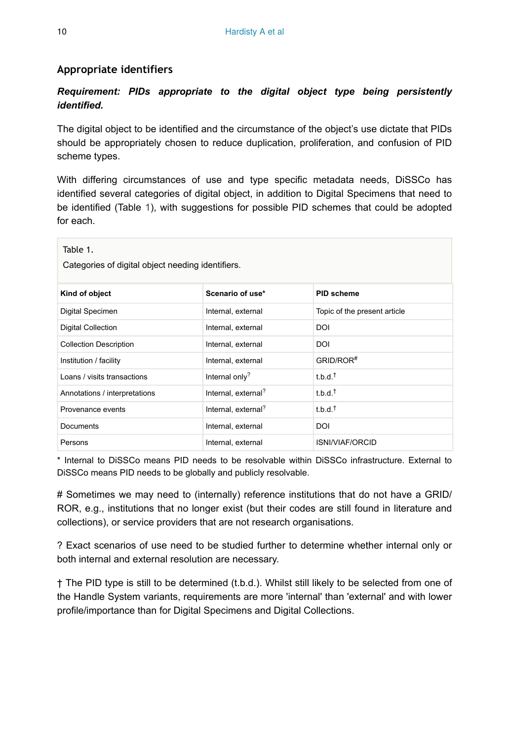#### **Appropriate identifiers**

## *Requirement: PIDs appropriate to the digital object type being persistently identified.*

The digital object to be identified and the circumstance of the object's use dictate that PIDs should be appropriately chosen to reduce duplication, proliferation, and confusion of PID scheme types.

With differing circumstances of use and type specific metadata needs, DiSSCo has identified several categories of digital object, in addition to Digital Specimens that need to be identified (Table [1](#page-9-0)), with suggestions for possible PID schemes that could be adopted for each.

<span id="page-9-0"></span>

| Table 1.<br>Categories of digital object needing identifiers. |                                 |                              |  |  |  |  |  |  |
|---------------------------------------------------------------|---------------------------------|------------------------------|--|--|--|--|--|--|
| Kind of object                                                | Scenario of use*                | <b>PID scheme</b>            |  |  |  |  |  |  |
| Digital Specimen                                              | Internal, external              | Topic of the present article |  |  |  |  |  |  |
| <b>Digital Collection</b>                                     | Internal, external              | DOI                          |  |  |  |  |  |  |
| <b>Collection Description</b>                                 | Internal, external              | DOI                          |  |  |  |  |  |  |
| Institution / facility                                        | Internal, external              | GRID/ROR <sup>#</sup>        |  |  |  |  |  |  |
| Loans / visits transactions                                   | Internal only?                  | $t.b.d.^{\dagger}$           |  |  |  |  |  |  |
| Annotations / interpretations                                 | Internal, external?             | $t.b.d.^{\dagger}$           |  |  |  |  |  |  |
| Provenance events                                             | Internal, external <sup>?</sup> | $t.b.d.^{\dagger}$           |  |  |  |  |  |  |
| Documents                                                     | Internal, external              | DOI                          |  |  |  |  |  |  |
| Persons                                                       | Internal, external              | ISNI/VIAF/ORCID              |  |  |  |  |  |  |

\* Internal to DiSSCo means PID needs to be resolvable within DiSSCo infrastructure. External to DiSSCo means PID needs to be globally and publicly resolvable.

# Sometimes we may need to (internally) reference institutions that do not have a GRID/ ROR, e.g., institutions that no longer exist (but their codes are still found in literature and collections), or service providers that are not research organisations.

? Exact scenarios of use need to be studied further to determine whether internal only or both internal and external resolution are necessary.

† The PID type is still to be determined (t.b.d.). Whilst still likely to be selected from one of the Handle System variants, requirements are more 'internal' than 'external' and with lower profile/importance than for Digital Specimens and Digital Collections.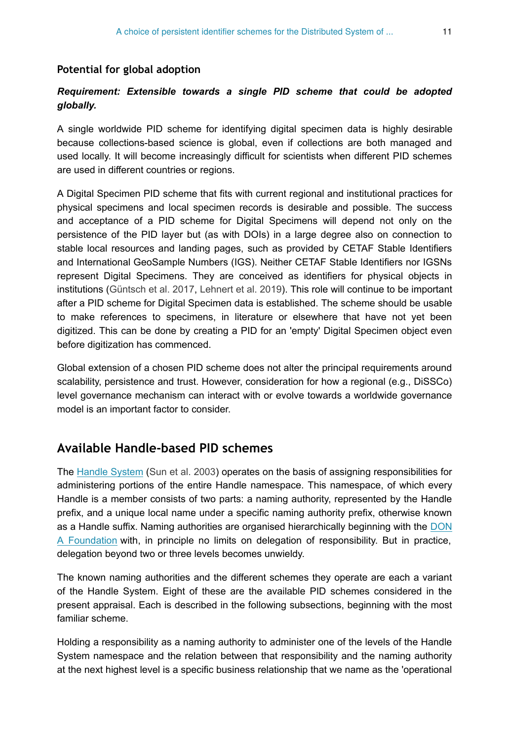#### **Potential for global adoption**

## *Requirement: Extensible towards a single PID scheme that could be adopted globally.*

A single worldwide PID scheme for identifying digital specimen data is highly desirable because collections-based science is global, even if collections are both managed and used locally. It will become increasingly difficult for scientists when different PID schemes are used in different countries or regions.

A Digital Specimen PID scheme that fits with current regional and institutional practices for physical specimens and local specimen records is desirable and possible. The success and acceptance of a PID scheme for Digital Specimens will depend not only on the persistence of the PID layer but (as with DOIs) in a large degree also on connection to stable local resources and landing pages, such as provided by CETAF Stable Identifiers and International GeoSample Numbers (IGS). Neither CETAF Stable Identifiers nor IGSNs represent Digital Specimens. They are conceived as identifiers for physical objects in institutions [\(Güntsch et al. 2017,](#page-37-9) [Lehnert et al. 2019\)](#page-37-10). This role will continue to be important after a PID scheme for Digital Specimen data is established. The scheme should be usable to make references to specimens, in literature or elsewhere that have not yet been digitized. This can be done by creating a PID for an 'empty' Digital Specimen object even before digitization has commenced.

Global extension of a chosen PID scheme does not alter the principal requirements around scalability, persistence and trust. However, consideration for how a regional (e.g., DiSSCo) level governance mechanism can interact with or evolve towards a worldwide governance model is an important factor to consider.

## **Available Handle-based PID schemes**

The [Handle System](https://www.dona.net/handle-system) [\(Sun et al. 2003](#page-38-6)) operates on the basis of assigning responsibilities for administering portions of the entire Handle namespace. This namespace, of which every Handle is a member consists of two parts: a naming authority, represented by the Handle prefix, and a unique local name under a specific naming authority prefix, otherwise known as a Handle suffix. Naming authorities are organised hierarchically beginning with the [DON](https://www.dona.net/) [A Foundation](https://www.dona.net/) with, in principle no limits on delegation of responsibility. But in practice, delegation beyond two or three levels becomes unwieldy.

The known naming authorities and the different schemes they operate are each a variant of the Handle System. Eight of these are the available PID schemes considered in the present appraisal. Each is described in the following subsections, beginning with the most familiar scheme.

Holding a responsibility as a naming authority to administer one of the levels of the Handle System namespace and the relation between that responsibility and the naming authority at the next highest level is a specific business relationship that we name as the 'operational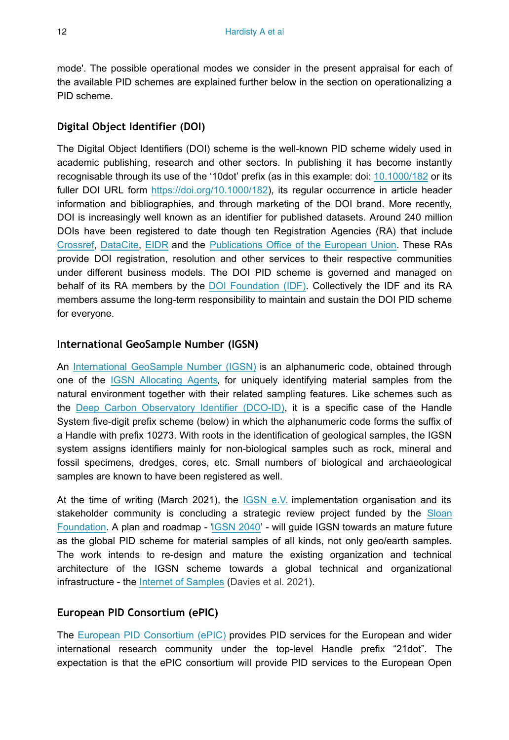mode'. The possible operational modes we consider in the present appraisal for each of the available PID schemes are explained further below in the section on operationalizing a PID scheme.

## **Digital Object Identifier (DOI)**

The Digital Object Identifiers (DOI) scheme is the well-known PID scheme widely used in academic publishing, research and other sectors. In publishing it has become instantly recognisable through its use of the '10dot' prefix (as in this example: doi: [10.1000/182](https://doi.org/) or its fuller DOI URL form <https://doi.org/10.1000/182>), its regular occurrence in article header information and bibliographies, and through marketing of the DOI brand. More recently, DOI is increasingly well known as an identifier for published datasets. Around 240 million DOIs have been registered to date though ten Registration Agencies (RA) that include [Crossref](https://www.crossref.org/), [DataCite](https://datacite.org/), [EIDR](https://www.eidr.org/) and the [Publications Office of the European Union](https://op.europa.eu/en/). These RAs provide DOI registration, resolution and other services to their respective communities under different business models. The DOI PID scheme is governed and managed on behalf of its RA members by the [DOI Foundation \(IDF\).](https://www.doi.org/) Collectively the IDF and its RA members assume the long-term responsibility to maintain and sustain the DOI PID scheme for everyone.

## **International GeoSample Number (IGSN)**

An [International GeoSample Number \(IGSN\)](https://www.igsn.org/) is an alphanumeric code, obtained through one of the [IGSN Allocating Agents](https://www.igsn.org/allocating-agents/), for uniquely identifying material samples from the natural environment together with their related sampling features. Like schemes such as the [Deep Carbon Observatory Identifier \(DCO-ID\)](https://deepcarbon.net/page/why-use-dco-portal), it is a specific case of the Handle System five-digit prefix scheme (below) in which the alphanumeric code forms the suffix of a Handle with prefix 10273. With roots in the identification of geological samples, the IGSN system assigns identifiers mainly for non-biological samples such as rock, mineral and fossil specimens, dredges, cores, etc. Small numbers of biological and archaeological samples are known to have been registered as well.

At the time of writing (March 2021), the [IGSN e.V.](https://www.igsn.org/) implementation organisation and its stakeholder community is concluding a strategic review project funded by the [Sloan](https://sloan.org/grant-detail/8517) [Foundation](https://sloan.org/grant-detail/8517). A plan and roadmap - ['IGSN 2040](https://www.igsn.org/igsn-2040/)' - will guide IGSN towards an mature future as the global PID scheme for material samples of all kinds, not only geo/earth samples. The work intends to re-design and mature the existing organization and technical architecture of the IGSN scheme towards a global technical and organizational infrastructure - the [Internet of Samples](https://isamplesorg.github.io/home/) ([Davies et al. 2021\)](#page-36-9).

### **European PID Consortium (ePIC)**

The [European PID Consortium \(ePIC\)](https://www.pidconsortium.net/) provides PID services for the European and wider international research community under the top-level Handle prefix "21dot". The expectation is that the ePIC consortium will provide PID services to the European Open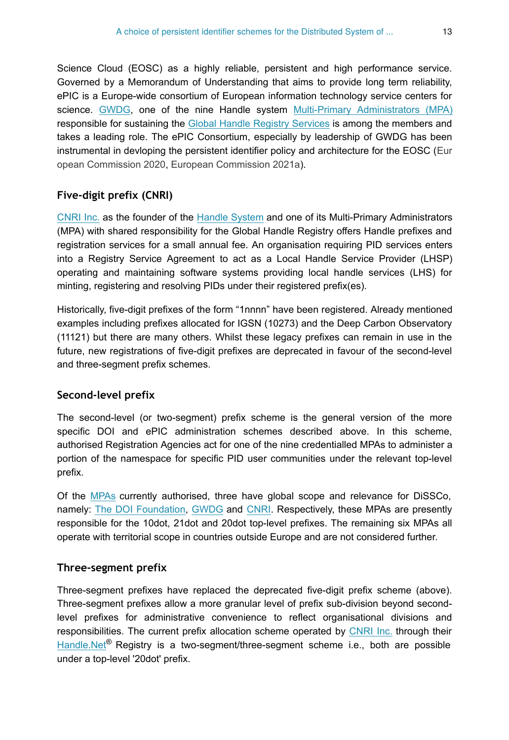Science Cloud (EOSC) as a highly reliable, persistent and high performance service. Governed by a Memorandum of Understanding that aims to provide long term reliability, ePIC is a Europe-wide consortium of European information technology service centers for science. [GWDG,](https://www.gwdg.de/) one of the nine Handle system [Multi-Primary Administrators \(MPA\)](https://www.dona.net/mpas) responsible for sustaining the [Global Handle Registry Services](https://www.dona.net/prefix/resolve) is among the members and takes a leading role. The ePIC Consortium, especially by leadership of GWDG has been instrumental in devloping the persistent identifier policy and architecture for the EOSC [\(Eur](#page-37-8) [opean Commission 2020](#page-37-8), [European Commission 2021a\)](#page-37-13).

### **Five-digit prefix (CNRI)**

[CNRI Inc.](https://www.cnri.reston.va.us/) as the founder of the [Handle System](https://www.dona.net/handle-system) and one of its Multi-Primary Administrators (MPA) with shared responsibility for the Global Handle Registry offers Handle prefixes and registration services for a small annual fee. An organisation requiring PID services enters into a Registry Service Agreement to act as a Local Handle Service Provider (LHSP) operating and maintaining software systems providing local handle services (LHS) for minting, registering and resolving PIDs under their registered prefix(es).

Historically, five-digit prefixes of the form "1nnnn" have been registered. Already mentioned examples including prefixes allocated for IGSN (10273) and the Deep Carbon Observatory (11121) but there are many others. Whilst these legacy prefixes can remain in use in the future, new registrations of five-digit prefixes are deprecated in favour of the second-level and three-segment prefix schemes.

### **Second-level prefix**

The second-level (or two-segment) prefix scheme is the general version of the more specific DOI and ePIC administration schemes described above. In this scheme, authorised Registration Agencies act for one of the nine credentialled MPAs to administer a portion of the namespace for specific PID user communities under the relevant top-level prefix.

Of the [MPAs](https://www.dona.net/mpas) currently authorised, three have global scope and relevance for DiSSCo, namely: [The DOI Foundation](https://www.doi.org/), [GWDG](https://www.gwdg.de/) and [CNRI.](http://www.cnri.net/) Respectively, these MPAs are presently responsible for the 10dot, 21dot and 20dot top-level prefixes. The remaining six MPAs all operate with territorial scope in countries outside Europe and are not considered further.

### **Three-segment prefix**

Three-segment prefixes have replaced the deprecated five-digit prefix scheme (above). Three-segment prefixes allow a more granular level of prefix sub-division beyond secondlevel prefixes for administrative convenience to reflect organisational divisions and responsibilities. The current prefix allocation scheme operated by [CNRI Inc.](https://www.cnri.net/) through their [Handle.Net](http://www.handle.net/)<sup>®</sup> Registry is a two-segment/three-segment scheme i.e., both are possible under a top-level '20dot' prefix.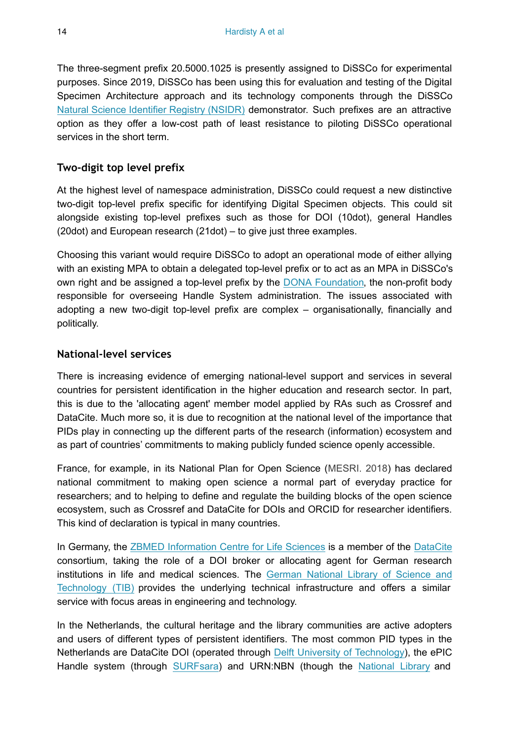The three-segment prefix 20.5000.1025 is presently assigned to DiSSCo for experimental purposes. Since 2019, DiSSCo has been using this for evaluation and testing of the Digital Specimen Architecture approach and its technology components through the DiSSCo [Natural Science Identifier Registry \(NSIDR\)](http://www.nsidr.org) demonstrator. Such prefixes are an attractive option as they offer a low-cost path of least resistance to piloting DiSSCo operational services in the short term.

## **Two-digit top level prefix**

At the highest level of namespace administration, DiSSCo could request a new distinctive two-digit top-level prefix specific for identifying Digital Specimen objects. This could sit alongside existing top-level prefixes such as those for DOI (10dot), general Handles (20dot) and European research (21dot) – to give just three examples.

Choosing this variant would require DiSSCo to adopt an operational mode of either allying with an existing MPA to obtain a delegated top-level prefix or to act as an MPA in DiSSCo's own right and be assigned a top-level prefix by the [DONA Foundation,](https://www.dona.net/) the non-profit body responsible for overseeing Handle System administration. The issues associated with adopting a new two-digit top-level prefix are complex – organisationally, financially and politically.

### **National-level services**

There is increasing evidence of emerging national-level support and services in several countries for persistent identification in the higher education and research sector. In part, this is due to the 'allocating agent' member model applied by RAs such as Crossref and DataCite. Much more so, it is due to recognition at the national level of the importance that PIDs play in connecting up the different parts of the research (information) ecosystem and as part of countries' commitments to making publicly funded science openly accessible.

France, for example, in its National Plan for Open Science [\(MESRI. 2018\)](#page-38-9) has declared national commitment to making open science a normal part of everyday practice for researchers; and to helping to define and regulate the building blocks of the open science ecosystem, such as Crossref and DataCite for DOIs and ORCID for researcher identifiers. This kind of declaration is typical in many countries.

In Germany, the [ZBMED Information Centre for Life Sciences](https://www.zbmed.de/en/) is a member of the [DataCite](https://datacite.org/) consortium, taking the role of a DOI broker or allocating agent for German research institutions in life and medical sciences. The [German National Library of Science and](https://www.tib.eu/en/) [Technology \(TIB\)](https://www.tib.eu/en/) provides the underlying technical infrastructure and offers a similar service with focus areas in engineering and technology.

In the Netherlands, the cultural heritage and the library communities are active adopters and users of different types of persistent identifiers. The most common PID types in the Netherlands are DataCite DOI (operated through [Delft University of Technology](https://www.tudelft.nl/en/library/support/datacite-netherlands)), the ePIC Handle system (through [SURFsara\)](https://userinfo.surfsara.nl/systems/epic-pid/how-does-it-work) and URN:NBN (though the [National Library](https://www.kb.nl/organisatie/onderzoek-expertise/informatie-infrastructuur-diensten-voor-bibliotheken/registration-agency-nbn) and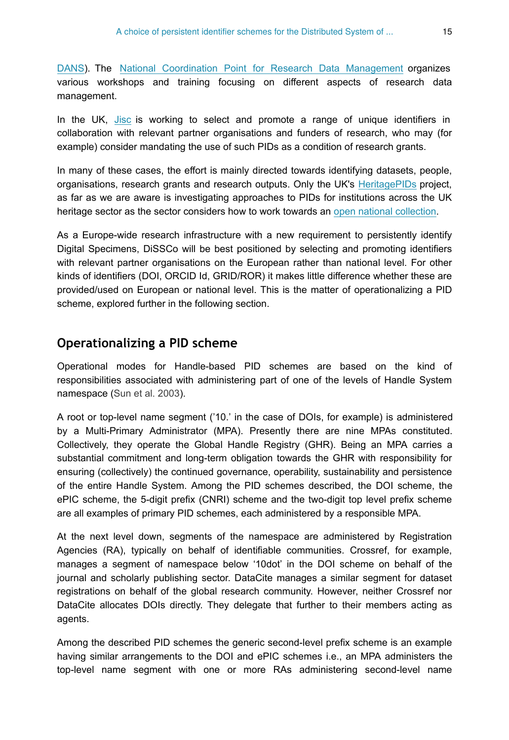[DANS](https://dans.knaw.nl/en/about/services/easy/information-about-depositing-data/during-depositing/persistent-identifiers)). The [National Coordination Point for Research Data Management](https://www.lcrdm.nl/en) organizes various workshops and training focusing on different aspects of research data management.

In the UK, [Jisc](https://www.jisc.ac.uk/) is working to select and promote a range of unique identifiers in collaboration with relevant partner organisations and funders of research, who may (for example) consider mandating the use of such PIDs as a condition of research grants.

In many of these cases, the effort is mainly directed towards identifying datasets, people, organisations, research grants and research outputs. Only the UK's [HeritagePIDs](https://github.com/tanc-ahrc/HeritagePIDs) project, as far as we are aware is investigating approaches to PIDs for institutions across the UK heritage sector as the sector considers how to work towards an [open national collection.](https://www.nationalcollection.org.uk/)

As a Europe-wide research infrastructure with a new requirement to persistently identify Digital Specimens, DiSSCo will be best positioned by selecting and promoting identifiers with relevant partner organisations on the European rather than national level. For other kinds of identifiers (DOI, ORCID Id, GRID/ROR) it makes little difference whether these are provided/used on European or national level. This is the matter of operationalizing a PID scheme, explored further in the following section.

# **Operationalizing a PID scheme**

Operational modes for Handle-based PID schemes are based on the kind of responsibilities associated with administering part of one of the levels of Handle System namespace [\(Sun et al. 2003](#page-38-6)).

A root or top-level name segment ('10.' in the case of DOIs, for example) is administered by a Multi-Primary Administrator (MPA). Presently there are nine MPAs constituted. Collectively, they operate the Global Handle Registry (GHR). Being an MPA carries a substantial commitment and long-term obligation towards the GHR with responsibility for ensuring (collectively) the continued governance, operability, sustainability and persistence of the entire Handle System. Among the PID schemes described, the DOI scheme, the ePIC scheme, the 5-digit prefix (CNRI) scheme and the two-digit top level prefix scheme are all examples of primary PID schemes, each administered by a responsible MPA.

At the next level down, segments of the namespace are administered by Registration Agencies (RA), typically on behalf of identifiable communities. Crossref, for example, manages a segment of namespace below '10dot' in the DOI scheme on behalf of the journal and scholarly publishing sector. DataCite manages a similar segment for dataset registrations on behalf of the global research community. However, neither Crossref nor DataCite allocates DOIs directly. They delegate that further to their members acting as agents.

Among the described PID schemes the generic second-level prefix scheme is an example having similar arrangements to the DOI and ePIC schemes i.e., an MPA administers the top-level name segment with one or more RAs administering second-level name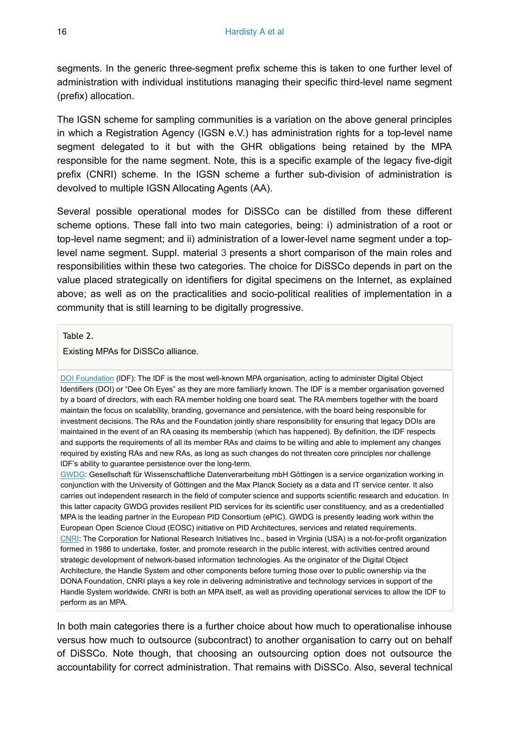segments. In the generic three-segment prefix scheme this is taken to one further level of administration with individual institutions managing their specific third-level name segment (prefix) allocation.

The IGSN scheme for sampling communities is a variation on the above general principles in which a Registration Agency (IGSN e.V.) has administration rights for a top-level name segment delegated to it but with the GHR obligations being retained by the MPA responsible for the name segment. Note, this is a specific example of the legacy five-digit prefix (CNRI) scheme. In the IGSN scheme a further sub-division of administration is devolved to multiple IGSN Allocating Agents (AA).

Several possible operational modes for DiSSCo can be distilled from these different scheme options. These fall into two main categories, being: i) administration of a root or top-level name segment; and ii) administration of a lower-level name segment under a toplevel name segment. Suppl. material [3](#page-39-3) presents a short comparison of the main roles and responsibilities within these two categories. The choice for DiSSCo depends in part on the value placed strategically on identifiers for digital specimens on the Internet, as explained above; as well as on the practicalities and socio-political realities of implementation in a community that is still learning to be digitally progressive.

<span id="page-15-0"></span>Table 2.

Existing MPAs for DiSSCo alliance.

[DOI Foundation](https://www.doi.org/) (IDF): The IDF is the most well-known MPA organisation, acting to administer Digital Object Identifiers (DOI) or "Dee Oh Eyes" as they are more familiarly known. The IDF is a member organisation governed by a board of directors, with each RA member holding one board seat. The RA members together with the board maintain the focus on scalability, branding, governance and persistence, with the board being responsible for investment decisions. The RAs and the Foundation jointly share responsibility for ensuring that legacy DOIs are maintained in the event of an RA ceasing its membership (which has happened). By definition, the IDF respects and supports the requirements of all its member RAs and claims to be willing and able to implement any changes required by existing RAs and new RAs, as long as such changes do not threaten core principles nor challenge IDF's ability to guarantee persistence over the long-term.

[GWDG:](https://www.gwdg.de/) Gesellschaft für Wissenschaftliche Datenverarbeitung mbH Göttingen is a service organization working in conjunction with the University of Göttingen and the Max Planck Society as a data and IT service center. It also carries out independent research in the field of computer science and supports scientific research and education. In this latter capacity GWDG provides resilient PID services for its scientific user constituency, and as a credentialled MPA is the leading partner in the European PID Consortium (ePIC). GWDG is presently leading work within the European Open Science Cloud (EOSC) initiative on PID Architectures, services and related requirements. [CNRI:](http://www.cnri.net/) The Corporation for National Research Initiatives Inc., based in Virginia (USA) is a not-for-profit organization formed in 1986 to undertake, foster, and promote research in the public interest, with activities centred around strategic development of network-based information technologies. As the originator of the Digital Object Architecture, the Handle System and other components before turning those over to public ownership via the DONA Foundation, CNRI plays a key role in delivering administrative and technology services in support of the Handle System worldwide. CNRI is both an MPA itself, as well as providing operational services to allow the IDF to perform as an MPA.

In both main categories there is a further choice about how much to operationalise inhouse versus how much to outsource (subcontract) to another organisation to carry out on behalf of DiSSCo. Note though, that choosing an outsourcing option does not outsource the accountability for correct administration. That remains with DiSSCo. Also, several technical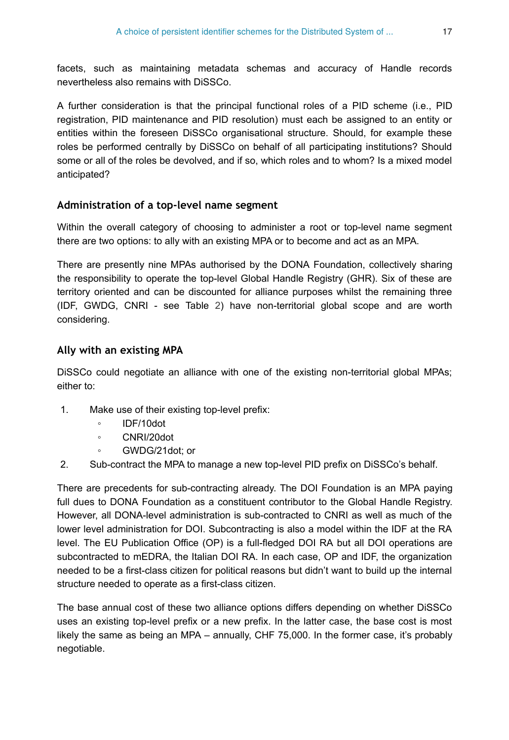facets, such as maintaining metadata schemas and accuracy of Handle records nevertheless also remains with DiSSCo.

A further consideration is that the principal functional roles of a PID scheme (i.e., PID registration, PID maintenance and PID resolution) must each be assigned to an entity or entities within the foreseen DiSSCo organisational structure. Should, for example these roles be performed centrally by DiSSCo on behalf of all participating institutions? Should some or all of the roles be devolved, and if so, which roles and to whom? Is a mixed model anticipated?

## **Administration of a top-level name segment**

Within the overall category of choosing to administer a root or top-level name segment there are two options: to ally with an existing MPA or to become and act as an MPA.

There are presently nine MPAs authorised by the DONA Foundation, collectively sharing the responsibility to operate the top-level Global Handle Registry (GHR). Six of these are territory oriented and can be discounted for alliance purposes whilst the remaining three (IDF, GWDG, CNRI - see Table [2](#page-15-0)) have non-territorial global scope and are worth considering.

## **Ally with an existing MPA**

DiSSCo could negotiate an alliance with one of the existing non-territorial global MPAs; either to:

- 1. Make use of their existing top-level prefix:
	- IDF/10dot
	- CNRI/20dot
	- GWDG/21dot; or
- 2. Sub-contract the MPA to manage a new top-level PID prefix on DiSSCo's behalf.

There are precedents for sub-contracting already. The DOI Foundation is an MPA paying full dues to DONA Foundation as a constituent contributor to the Global Handle Registry. However, all DONA-level administration is sub-contracted to CNRI as well as much of the lower level administration for DOI. Subcontracting is also a model within the IDF at the RA level. The EU Publication Office (OP) is a full-fledged DOI RA but all DOI operations are subcontracted to mEDRA, the Italian DOI RA. In each case, OP and IDF, the organization needed to be a first-class citizen for political reasons but didn't want to build up the internal structure needed to operate as a first-class citizen.

The base annual cost of these two alliance options differs depending on whether DiSSCo uses an existing top-level prefix or a new prefix. In the latter case, the base cost is most likely the same as being an MPA – annually, CHF 75,000. In the former case, it's probably negotiable.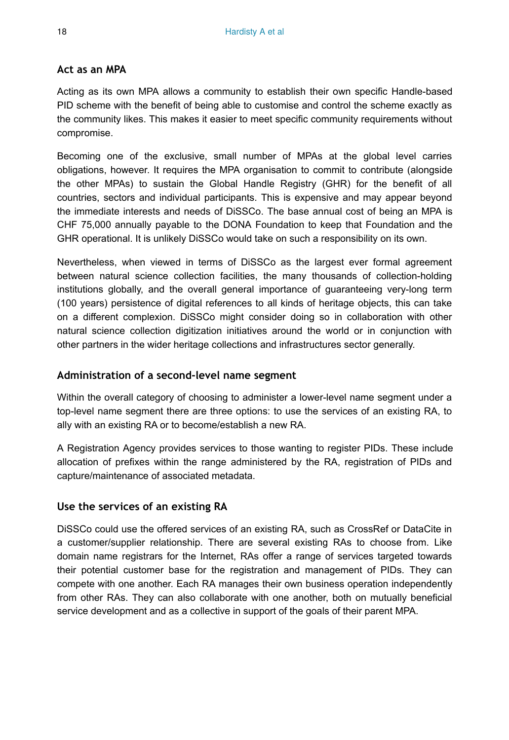#### **Act as an MPA**

Acting as its own MPA allows a community to establish their own specific Handle-based PID scheme with the benefit of being able to customise and control the scheme exactly as the community likes. This makes it easier to meet specific community requirements without compromise.

Becoming one of the exclusive, small number of MPAs at the global level carries obligations, however. It requires the MPA organisation to commit to contribute (alongside the other MPAs) to sustain the Global Handle Registry (GHR) for the benefit of all countries, sectors and individual participants. This is expensive and may appear beyond the immediate interests and needs of DiSSCo. The base annual cost of being an MPA is CHF 75,000 annually payable to the DONA Foundation to keep that Foundation and the GHR operational. It is unlikely DiSSCo would take on such a responsibility on its own.

Nevertheless, when viewed in terms of DiSSCo as the largest ever formal agreement between natural science collection facilities, the many thousands of collection-holding institutions globally, and the overall general importance of guaranteeing very-long term (100 years) persistence of digital references to all kinds of heritage objects, this can take on a different complexion. DiSSCo might consider doing so in collaboration with other natural science collection digitization initiatives around the world or in conjunction with other partners in the wider heritage collections and infrastructures sector generally.

#### **Administration of a second-level name segment**

Within the overall category of choosing to administer a lower-level name segment under a top-level name segment there are three options: to use the services of an existing RA, to ally with an existing RA or to become/establish a new RA.

A Registration Agency provides services to those wanting to register PIDs. These include allocation of prefixes within the range administered by the RA, registration of PIDs and capture/maintenance of associated metadata.

### **Use the services of an existing RA**

DiSSCo could use the offered services of an existing RA, such as CrossRef or DataCite in a customer/supplier relationship. There are several existing RAs to choose from. Like domain name registrars for the Internet, RAs offer a range of services targeted towards their potential customer base for the registration and management of PIDs. They can compete with one another. Each RA manages their own business operation independently from other RAs. They can also collaborate with one another, both on mutually beneficial service development and as a collective in support of the goals of their parent MPA.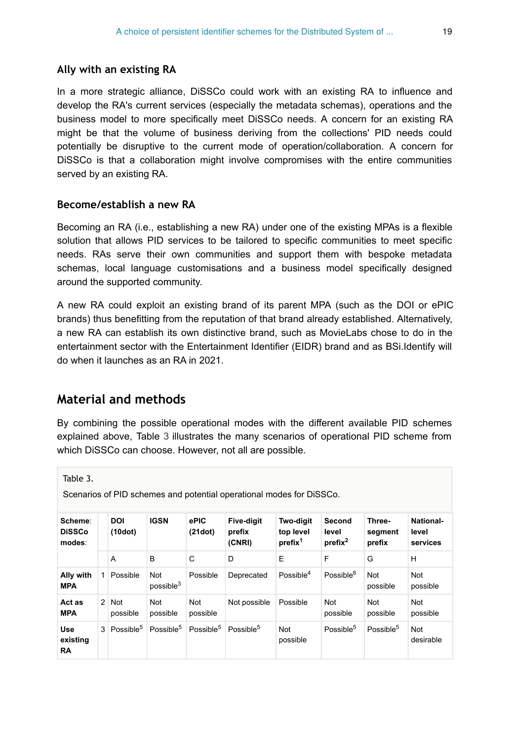#### **Ally with an existing RA**

In a more strategic alliance, DiSSCo could work with an existing RA to influence and develop the RA's current services (especially the metadata schemas), operations and the business model to more specifically meet DiSSCo needs. A concern for an existing RA might be that the volume of business deriving from the collections' PID needs could potentially be disruptive to the current mode of operation/collaboration. A concern for DiSSCo is that a collaboration might involve compromises with the entire communities served by an existing RA.

#### **Become/establish a new RA**

Becoming an RA (i.e., establishing a new RA) under one of the existing MPAs is a flexible solution that allows PID services to be tailored to specific communities to meet specific needs. RAs serve their own communities and support them with bespoke metadata schemas, local language customisations and a business model specifically designed around the supported community.

A new RA could exploit an existing brand of its parent MPA (such as the DOI or ePIC brands) thus benefitting from the reputation of that brand already established. Alternatively, a new RA can establish its own distinctive brand, such as MovieLabs chose to do in the entertainment sector with the Entertainment Identifier (EIDR) brand and as BSi.Identify will do when it launches as an RA in 2021.

# **Material and methods**

By combining the possible operational modes with the different available PID schemes explained above, Table [3](#page-18-0) illustrates the many scenarios of operational PID scheme from which DiSSCo can choose. However, not all are possible.

<span id="page-18-0"></span>Table 3.

Scenarios of PID schemes and potential operational modes for DiSSCo.

| Scheme:<br><b>DiSSCo</b><br>modes:  |   | <b>DOI</b><br>(10dot)    | <b>IGSN</b>                  | ePIC<br>(21dot)       | <b>Five-digit</b><br>prefix<br>(CNRI) | <b>Two-digit</b><br>top level<br>prefix <sup>1</sup> | Second<br>level<br>prefix <sup>2</sup> | Three-<br>segment<br>prefix | National-<br>level<br>services |
|-------------------------------------|---|--------------------------|------------------------------|-----------------------|---------------------------------------|------------------------------------------------------|----------------------------------------|-----------------------------|--------------------------------|
|                                     |   | A                        | B                            | C                     | D                                     | E                                                    | F                                      | G                           | H                              |
| Ally with<br><b>MPA</b>             |   | Possible                 | Not<br>possible <sup>3</sup> | Possible              | Deprecated                            | Possible <sup>4</sup>                                | Possible <sup>6</sup>                  | Not<br>possible             | Not<br>possible                |
| Act as<br><b>MPA</b>                |   | $2 \mid$ Not<br>possible | Not<br>possible              | Not<br>possible       | Not possible                          | Possible                                             | Not<br>possible                        | Not<br>possible             | Not<br>possible                |
| <b>Use</b><br>existing<br><b>RA</b> | 3 | Possible <sup>5</sup>    | Possible <sup>5</sup>        | Possible <sup>5</sup> | Possible <sup>5</sup>                 | Not<br>possible                                      | Possible <sup>5</sup>                  | Possible <sup>5</sup>       | Not<br>desirable               |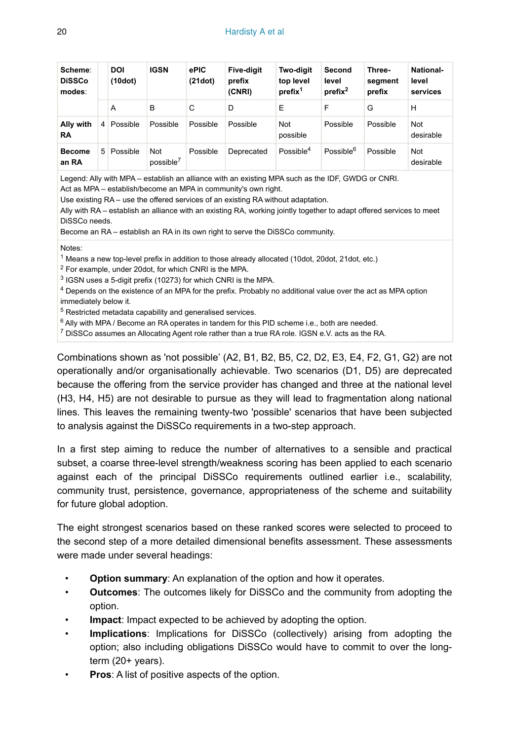| Scheme:<br><b>DiSSCo</b><br>modes: |    | <b>DOI</b><br>(10dot) | <b>IGSN</b>                  | ePIC<br>(21dot) | <b>Five-digit</b><br>prefix<br>(CNRI) | Two-digit<br>top level<br>prefix <sup>1</sup> | Second<br>level<br>prefix <sup>2</sup> | Three-<br>segment<br>prefix | National-<br>level<br>services |
|------------------------------------|----|-----------------------|------------------------------|-----------------|---------------------------------------|-----------------------------------------------|----------------------------------------|-----------------------------|--------------------------------|
|                                    |    | A                     | B                            | C               | D                                     | Е                                             | F                                      | G                           | н                              |
| Ally with<br><b>RA</b>             | 4  | Possible              | Possible                     | Possible        | Possible                              | Not<br>possible                               | Possible                               | Possible                    | Not<br>desirable               |
| <b>Become</b><br>an RA             | 5. | Possible              | Not<br>possible <sup>7</sup> | Possible        | Deprecated                            | Possible <sup>4</sup>                         | Possible <sup>6</sup>                  | Possible                    | Not<br>desirable               |

Legend: Ally with MPA – establish an alliance with an existing MPA such as the IDF, GWDG or CNRI. Act as MPA – establish/become an MPA in community's own right.

Use existing RA – use the offered services of an existing RA without adaptation.

Ally with RA – establish an alliance with an existing RA, working jointly together to adapt offered services to meet DiSSCo needs.

Become an RA – establish an RA in its own right to serve the DiSSCo community.

Notes:

 $1$  Means a new top-level prefix in addition to those already allocated (10dot, 20dot, 21dot, etc.)

 $2$  For example, under 20 dot, for which CNRI is the MPA.

 $3$  IGSN uses a 5-digit prefix (10273) for which CNRI is the MPA.

 $4$  Depends on the existence of an MPA for the prefix. Probably no additional value over the act as MPA option immediately below it.

<sup>5</sup> Restricted metadata capability and generalised services.

 $6$  Ally with MPA / Become an RA operates in tandem for this PID scheme i.e., both are needed.

 $^7$  DiSSCo assumes an Allocating Agent role rather than a true RA role. IGSN e.V. acts as the RA.

Combinations shown as 'not possible' (A2, B1, B2, B5, C2, D2, E3, E4, F2, G1, G2) are not operationally and/or organisationally achievable. Two scenarios (D1, D5) are deprecated because the offering from the service provider has changed and three at the national level (H3, H4, H5) are not desirable to pursue as they will lead to fragmentation along national lines. This leaves the remaining twenty-two 'possible' scenarios that have been subjected to analysis against the DiSSCo requirements in a two-step approach.

In a first step aiming to reduce the number of alternatives to a sensible and practical subset, a coarse three-level strength/weakness scoring has been applied to each scenario against each of the principal DiSSCo requirements outlined earlier i.e., scalability, community trust, persistence, governance, appropriateness of the scheme and suitability for future global adoption.

The eight strongest scenarios based on these ranked scores were selected to proceed to the second step of a more detailed dimensional benefits assessment. These assessments were made under several headings:

- **Option summary**: An explanation of the option and how it operates.
- **Outcomes**: The outcomes likely for DiSSCo and the community from adopting the option.
- **Impact:** Impact expected to be achieved by adopting the option.
- **Implications**: Implications for DiSSCo (collectively) arising from adopting the option; also including obligations DiSSCo would have to commit to over the longterm (20+ years).
- **Pros:** A list of positive aspects of the option.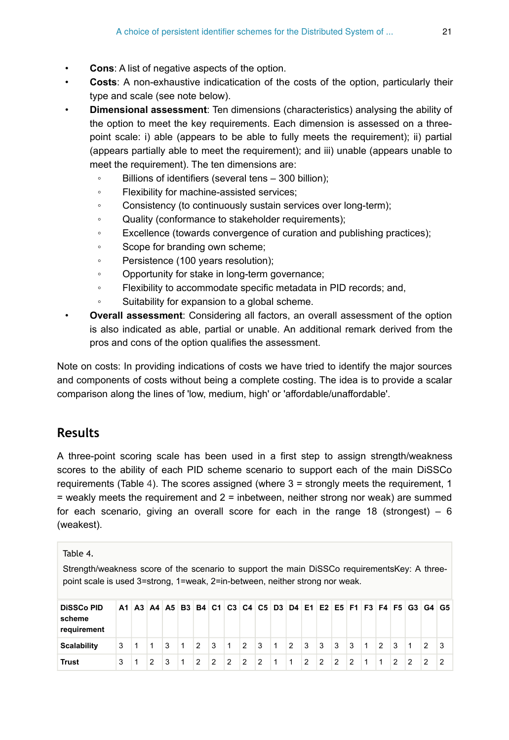- **Cons:** A list of negative aspects of the option.
- **Costs**: A non-exhaustive indicatication of the costs of the option, particularly their type and scale (see note below).
- **Dimensional assessment**: Ten dimensions (characteristics) analysing the ability of the option to meet the key requirements. Each dimension is assessed on a threepoint scale: i) able (appears to be able to fully meets the requirement); ii) partial (appears partially able to meet the requirement); and iii) unable (appears unable to meet the requirement). The ten dimensions are:
	- Billions of identifiers (several tens 300 billion);
	- Flexibility for machine-assisted services;
	- Consistency (to continuously sustain services over long-term);
	- Quality (conformance to stakeholder requirements);
	- Excellence (towards convergence of curation and publishing practices);
	- Scope for branding own scheme;
	- Persistence (100 years resolution);
	- Opportunity for stake in long-term governance;
	- Flexibility to accommodate specific metadata in PID records; and,
	- Suitability for expansion to a global scheme.
- **Overall assessment**: Considering all factors, an overall assessment of the option is also indicated as able, partial or unable. An additional remark derived from the pros and cons of the option qualifies the assessment.

Note on costs: In providing indications of costs we have tried to identify the major sources and components of costs without being a complete costing. The idea is to provide a scalar comparison along the lines of 'low, medium, high' or 'affordable/unaffordable'.

# **Results**

A three-point scoring scale has been used in a first step to assign strength/weakness scores to the ability of each PID scheme scenario to support each of the main DiSSCo requirements (Table [4\)](#page-20-0). The scores assigned (where 3 = strongly meets the requirement, 1 = weakly meets the requirement and 2 = inbetween, neither strong nor weak) are summed for each scenario, giving an overall score for each in the range 18 (strongest)  $-6$ (weakest).

<span id="page-20-0"></span>

| Table 4.<br>Strength/weakness score of the scenario to support the main DiSSCo requirements Key: A three-<br>point scale is used 3=strong, 1=weak, 2=in-between, neither strong nor weak. |    |   |                |   |              |               |   |               |               |                |              |   |                |                |               |               |              |               |                |   |                                                                |   |
|-------------------------------------------------------------------------------------------------------------------------------------------------------------------------------------------|----|---|----------------|---|--------------|---------------|---|---------------|---------------|----------------|--------------|---|----------------|----------------|---------------|---------------|--------------|---------------|----------------|---|----------------------------------------------------------------|---|
| <b>DiSSCo PID</b><br>scheme<br>requirement                                                                                                                                                | A1 |   |                |   |              |               |   |               |               |                |              |   |                |                |               |               |              |               |                |   | A3 A4 A5 B3 B4 C1 C3 C4 C5 D3 D4 E1 E2 E5 F1 F3 F4 F5 G3 G4 G5 |   |
| <b>Scalability</b>                                                                                                                                                                        | 3  | 1 | 1              | 3 | $\mathbf{1}$ | 12            | 3 | $\mathbf{1}$  | $\mathcal{P}$ | 3              | $\mathbf{1}$ | 2 | 3              | 3              | 3             | 3             | $\mathbf{1}$ | $\mathcal{P}$ | 3              | 1 | $\mathcal{P}$                                                  | 3 |
| <b>Trust</b>                                                                                                                                                                              | 3  | 1 | $\mathfrak{p}$ | 3 | 1            | $\mathcal{P}$ | 2 | $\mathcal{P}$ | $\mathcal{P}$ | $\overline{2}$ | 1            | 1 | $\mathfrak{p}$ | $\mathfrak{p}$ | $\mathcal{P}$ | $\mathcal{P}$ | 1            | 1             | $\mathfrak{p}$ | 2 | 2                                                              | 2 |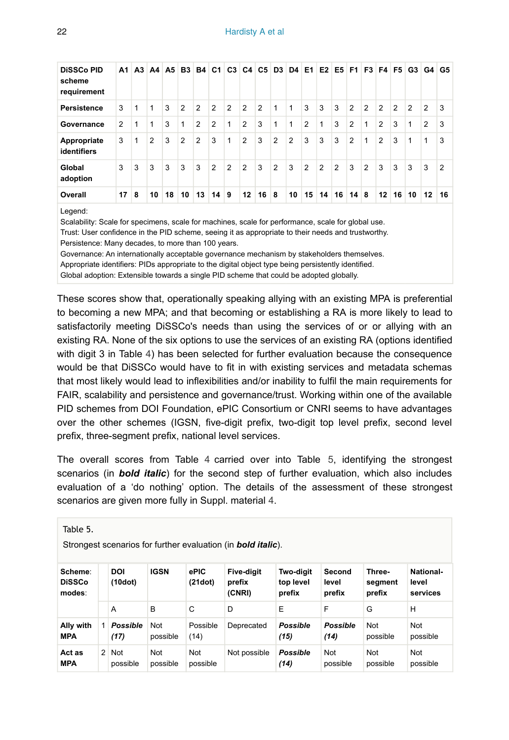| <b>DiSSCo PID</b><br>scheme<br>requirement | А1 | A3 | A4 |    |    |                | A5 B3 B4 C1 C3 C4 C5 |               |                |                | D <sub>3</sub> | D4 E1        |                |    | $E2$ E5 F1 F3 F4 F5 |                           |                |                |    | G3 G4 |                | G5 |
|--------------------------------------------|----|----|----|----|----|----------------|----------------------|---------------|----------------|----------------|----------------|--------------|----------------|----|---------------------|---------------------------|----------------|----------------|----|-------|----------------|----|
| <b>Persistence</b>                         | 3  | 1  | 1  | 3  | 2  | 2              | $\mathfrak{p}$       | 2             | $\overline{2}$ | $\overline{2}$ | 1              | 1            | 3              | 3  | 3                   | 2                         | $\overline{2}$ | $\overline{2}$ | 2  | 2     | 2              | 3  |
| Governance                                 | 2  | 1  | 1  | 3  | 1  | $\overline{2}$ | $\overline{2}$       | 1             | $\overline{2}$ | 3              | 1              | $\mathbf{1}$ | $\overline{2}$ | 1  | 3                   | $\overline{2}$            | 1              | 2              | 3  | 1     | $\overline{2}$ | 3  |
| Appropriate<br>identifiers                 | 3  | 1  | 2  | 3  | 2  | 2              | 3                    | 1             | $\overline{2}$ | 3              | 2              | 2            | 3              | 3  | 3                   | 2                         | 1              | 2              | 3  | 1     | 1              | 3  |
| Global<br>adoption                         | 3  | 3  | 3  | 3  | 3  | 3              | $\mathfrak{p}$       | $\mathcal{P}$ | $\overline{2}$ | 3              | 2              | 3            | 2              | 2  | 2                   | 3                         | $\overline{2}$ | 3              | 3  | 3     | 3              | 2  |
| Overall                                    | 17 | 8  | 10 | 18 | 10 | 13             | 14                   | 9             | 12             | 16             | 8              | 10           | 15             | 14 | 16                  | $14 \overline{\smash{8}}$ |                | 12             | 16 | 10    | 12             | 16 |

Legend:

Scalability: Scale for specimens, scale for machines, scale for performance, scale for global use. Trust: User confidence in the PID scheme, seeing it as appropriate to their needs and trustworthy. Persistence: Many decades, to more than 100 years.

Governance: An internationally acceptable governance mechanism by stakeholders themselves.

Appropriate identifiers: PIDs appropriate to the digital object type being persistently identified.

Global adoption: Extensible towards a single PID scheme that could be adopted globally.

These scores show that, operationally speaking allying with an existing MPA is preferential to becoming a new MPA; and that becoming or establishing a RA is more likely to lead to satisfactorily meeting DiSSCo's needs than using the services of or or allying with an existing RA. None of the six options to use the services of an existing RA (options identified with digit 3 in Table [4\)](#page-20-0) has been selected for further evaluation because the consequence would be that DiSSCo would have to fit in with existing services and metadata schemas that most likely would lead to inflexibilities and/or inability to fulfil the main requirements for FAIR, scalability and persistence and governance/trust. Working within one of the available PID schemes from DOI Foundation, ePIC Consortium or CNRI seems to have advantages over the other schemes (IGSN, five-digit prefix, two-digit top level prefix, second level prefix, three-segment prefix, national level services.

The overall scores from Table [4](#page-20-0) carried over into Table [5](#page-21-0), identifying the strongest scenarios (in *bold italic*) for the second step of further evaluation, which also includes evaluation of a 'do nothing' option. The details of the assessment of these strongest scenarios are given more fully in Suppl. material [4.](#page-40-5)

<span id="page-21-0"></span>Table 5.

Strongest scenarios for further evaluation (in *bold italic*).

| Scheme:<br><b>DiSSCo</b><br>modes: |               | <b>DOI</b><br>(10dot)   | <b>IGSN</b>     | ePIC<br>(21dot)  | <b>Five-digit</b><br>prefix<br>(CNRI) | Two-digit<br>top level<br>prefix | Second<br>level<br>prefix | Three-<br>segment<br>prefix | <b>National-</b><br>level<br>services |
|------------------------------------|---------------|-------------------------|-----------------|------------------|---------------------------------------|----------------------------------|---------------------------|-----------------------------|---------------------------------------|
|                                    |               | A                       | B               | C                | D                                     | E                                | F                         | G                           | H                                     |
| Ally with<br><b>MPA</b>            |               | <b>Possible</b><br>(17) | Not<br>possible | Possible<br>(14) | Deprecated                            | <b>Possible</b><br>(15)          | <b>Possible</b><br>(14)   | Not<br>possible             | Not<br>possible                       |
| Act as<br>MPA                      | $\mathcal{P}$ | <b>Not</b><br>possible  | Not<br>possible | Not<br>possible  | Not possible                          | <b>Possible</b><br>(14)          | Not<br>possible           | Not<br>possible             | Not<br>possible                       |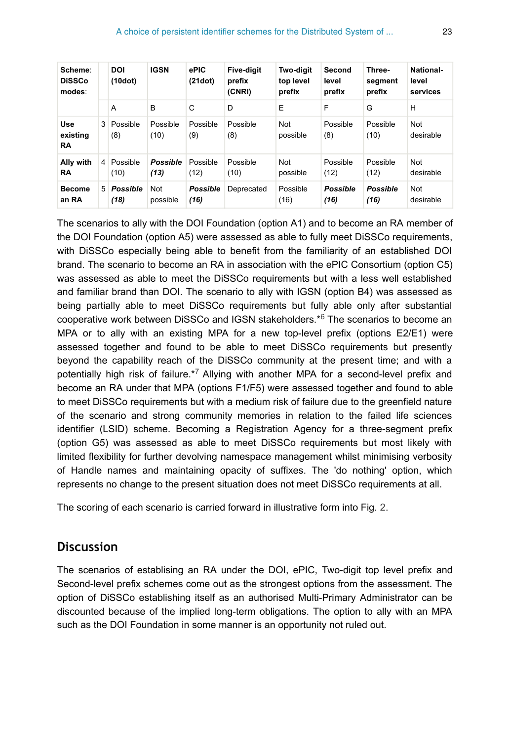| Scheme:<br><b>DiSSCo</b><br>modes: |                | <b>DOI</b><br>(10dot)   | <b>IGSN</b>             | ePIC<br>(21dot)         | <b>Five-diait</b><br>prefix<br>(CNRI) | <b>Two-digit</b><br>top level<br>prefix | Second<br>level<br>prefix | Three-<br>segment<br>prefix | <b>National-</b><br>level<br>services |
|------------------------------------|----------------|-------------------------|-------------------------|-------------------------|---------------------------------------|-----------------------------------------|---------------------------|-----------------------------|---------------------------------------|
|                                    |                | A                       | B                       | C                       | D                                     | E                                       | F                         | G                           | н                                     |
| <b>Use</b><br>existing<br>RA       | 3              | Possible<br>(8)         | Possible<br>(10)        | Possible<br>(9)         | Possible<br>(8)                       | Not<br>possible                         | Possible<br>(8)           | Possible<br>(10)            | <b>Not</b><br>desirable               |
| Ally with<br>RA                    | 4              | Possible<br>(10)        | <b>Possible</b><br>(13) | Possible<br>(12)        | Possible<br>(10)                      | Not<br>possible                         | Possible<br>(12)          | Possible<br>(12)            | <b>Not</b><br>desirable               |
| <b>Become</b><br>an RA             | 5 <sup>1</sup> | <b>Possible</b><br>(18) | Not<br>possible         | <b>Possible</b><br>(16) | Deprecated                            | Possible<br>(16)                        | <b>Possible</b><br>(16)   | <b>Possible</b><br>(16)     | <b>Not</b><br>desirable               |

The scenarios to ally with the DOI Foundation (option A1) and to become an RA member of the DOI Foundation (option A5) were assessed as able to fully meet DiSSCo requirements, with DiSSCo especially being able to benefit from the familiarity of an established DOI brand. The scenario to become an RA in association with the ePIC Consortium (option C5) was assessed as able to meet the DiSSCo requirements but with a less well established and familiar brand than DOI. The scenario to ally with IGSN (option B4) was assessed as being partially able to meet DiSSCo requirements but fully able only after substantial cooperative work between DiSSCo and IGSN stakeholders.[\\*](#page-40-6)<sup>6</sup> The scenarios to become an MPA or to ally with an existing MPA for a new top-level prefix (options E2/E1) were assessed together and found to be able to meet DiSSCo requirements but presently beyond the capability reach of the DiSSCo community at the present time; and with a potentially high risk of failure.\*7 Allying with another MPA for a second-level prefix and become an RA under that MPA (options F1/F5) were assessed together and found to able to meet DiSSCo requirements but with a medium risk of failure due to the greenfield nature of the scenario and strong community memories in relation to the failed life sciences identifier (LSID) scheme. Becoming a Registration Agency for a three-segment prefix (option G5) was assessed as able to meet DiSSCo requirements but most likely with limited flexibility for further devolving namespace management whilst minimising verbosity of Handle names and maintaining opacity of suffixes. The 'do nothing' option, which represents no change to the present situation does not meet DiSSCo requirements at all.

The scoring of each scenario is carried forward in illustrative form into Fig. [2](#page-23-0).

# **Discussion**

The scenarios of establising an RA under the DOI, ePIC, Two-digit top level prefix and Second-level prefix schemes come out as the strongest options from the assessment. The option of DiSSCo establishing itself as an authorised Multi-Primary Administrator can be discounted because of the implied long-term obligations. The option to ally with an MPA such as the DOI Foundation in some manner is an opportunity not ruled out.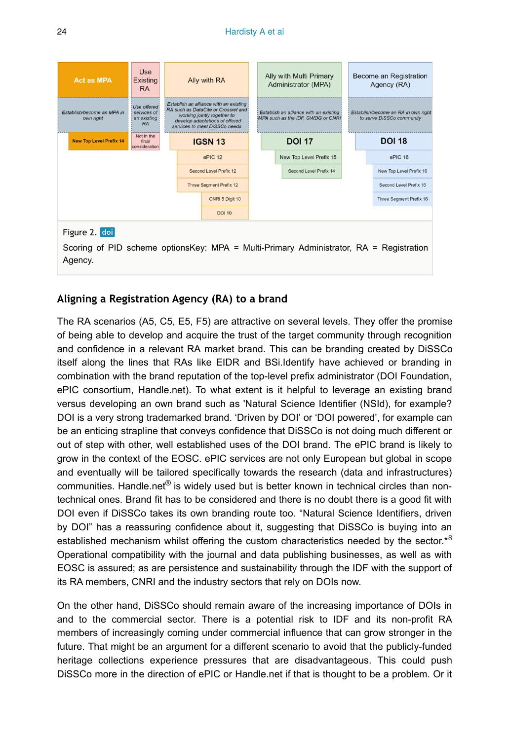<span id="page-23-0"></span>

| <b>Act as MPA</b>                                                                                                  | Use<br><b>Existing</b><br><b>RA</b>                     | Ally with RA                                                                                                                                                                    |  | Ally with Multi Primary<br>Administrator (MPA)                               |  | Become an Registration<br>Agency (RA)                            |  |
|--------------------------------------------------------------------------------------------------------------------|---------------------------------------------------------|---------------------------------------------------------------------------------------------------------------------------------------------------------------------------------|--|------------------------------------------------------------------------------|--|------------------------------------------------------------------|--|
| Establish/become an MPA in<br>own right                                                                            | Use offered:<br>services of<br>an existing<br><b>RA</b> | Establish an alliance with an existing<br>RA such as DataCite or Crossref and<br>working jointly together to<br>develop adaptations of offered<br>services to meet DiSSCo needs |  | Establish an alliance with an existing<br>MPA such as the IDF, GWDG or CNRI. |  | Establish/become an RA in own right<br>to serve DiSSCo community |  |
| <b>New Top Level Prefix 14</b>                                                                                     | Not in the<br>final<br>consideration                    | <b>IGSN 13</b>                                                                                                                                                                  |  | <b>DOI 17</b>                                                                |  | <b>DOI 18</b>                                                    |  |
|                                                                                                                    |                                                         | ePIC 12                                                                                                                                                                         |  | New Top Level Prefix 15                                                      |  | ePIC 16                                                          |  |
|                                                                                                                    |                                                         | Second Level Prefix 12                                                                                                                                                          |  | Second Level Prefix 14                                                       |  | New Top Level Prefix 16                                          |  |
|                                                                                                                    |                                                         | <b>Three Segment Prefix 12</b>                                                                                                                                                  |  |                                                                              |  | Second Level Prefix 16                                           |  |
|                                                                                                                    |                                                         | CNRI 5 Digit 10                                                                                                                                                                 |  |                                                                              |  | Three Segment Prefix 16                                          |  |
|                                                                                                                    |                                                         | <b>DOI 10</b>                                                                                                                                                                   |  |                                                                              |  |                                                                  |  |
| Figure 2. doi<br>Scoring of PID scheme optionsKey: MPA = Multi-Primary Administrator, RA = Registration<br>Agency. |                                                         |                                                                                                                                                                                 |  |                                                                              |  |                                                                  |  |

#### **Aligning a Registration Agency (RA) to a brand**

The RA scenarios (A5, C5, E5, F5) are attractive on several levels. They offer the promise of being able to develop and acquire the trust of the target community through recognition and confidence in a relevant RA market brand. This can be branding created by DiSSCo itself along the lines that RAs like EIDR and BSi.Identify have achieved or branding in combination with the brand reputation of the top-level prefix administrator (DOI Foundation, ePIC consortium, Handle.net). To what extent is it helpful to leverage an existing brand versus developing an own brand such as 'Natural Science Identifier (NSId), for example? DOI is a very strong trademarked brand. 'Driven by DOI' or 'DOI powered', for example can be an enticing strapline that conveys confidence that DiSSCo is not doing much different or out of step with other, well established uses of the DOI brand. The ePIC brand is likely to grow in the context of the EOSC. ePIC services are not only European but global in scope and eventually will be tailored specifically towards the research (data and infrastructures) communities. Handle.net® is widely used but is better known in technical circles than nontechnical ones. Brand fit has to be considered and there is no doubt there is a good fit with DOI even if DiSSCo takes its own branding route too. "Natural Science Identifiers, driven by DOI" has a reassuring confidence about it, suggesting that DiSSCo is buying into an established mechanism whilst offering the custom characteristics needed by the sector. $*8$  $*8$ Operational compatibility with the journal and data publishing businesses, as well as with EOSC is assured; as are persistence and sustainability through the IDF with the support of its RA members, CNRI and the industry sectors that rely on DOIs now.

On the other hand, DiSSCo should remain aware of the increasing importance of DOIs in and to the commercial sector. There is a potential risk to IDF and its non-profit RA members of increasingly coming under commercial influence that can grow stronger in the future. That might be an argument for a different scenario to avoid that the publicly-funded heritage collections experience pressures that are disadvantageous. This could push DiSSCo more in the direction of ePIC or Handle.net if that is thought to be a problem. Or it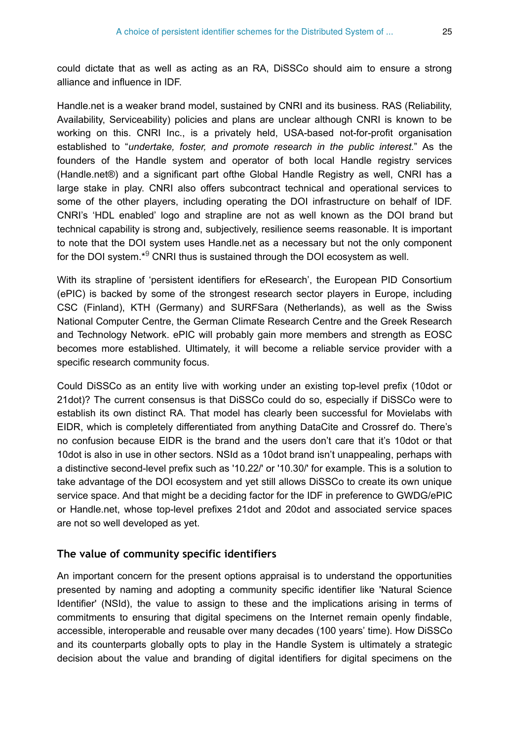could dictate that as well as acting as an RA, DiSSCo should aim to ensure a strong alliance and influence in IDF.

Handle.net is a weaker brand model, sustained by CNRI and its business. RAS (Reliability, Availability, Serviceability) policies and plans are unclear although CNRI is known to be working on this. CNRI Inc., is a privately held, USA-based not-for-profit organisation established to "*undertake, foster, and promote research in the public interest.*" As the founders of the Handle system and operator of both local Handle registry services (Handle.net®) and a significant part ofthe Global Handle Registry as well, CNRI has a large stake in play. CNRI also offers subcontract technical and operational services to some of the other players, including operating the DOI infrastructure on behalf of IDF. CNRI's 'HDL enabled' logo and strapline are not as well known as the DOI brand but technical capability is strong and, subjectively, resilience seems reasonable. It is important to note that the DOI system uses Handle.net as a necessary but not the only component for the DOI system. $*$ <sup>9</sup> CNRI thus is sustained through the DOI ecosystem as well.

With its strapline of 'persistent identifiers for eResearch', the European PID Consortium (ePIC) is backed by some of the strongest research sector players in Europe, including CSC (Finland), KTH (Germany) and SURFSara (Netherlands), as well as the Swiss National Computer Centre, the German Climate Research Centre and the Greek Research and Technology Network. ePIC will probably gain more members and strength as EOSC becomes more established. Ultimately, it will become a reliable service provider with a specific research community focus.

Could DiSSCo as an entity live with working under an existing top-level prefix (10dot or 21dot)? The current consensus is that DiSSCo could do so, especially if DiSSCo were to establish its own distinct RA. That model has clearly been successful for Movielabs with EIDR, which is completely differentiated from anything DataCite and Crossref do. There's no confusion because EIDR is the brand and the users don't care that it's 10dot or that 10dot is also in use in other sectors. NSId as a 10dot brand isn't unappealing, perhaps with a distinctive second-level prefix such as '10.22/' or '10.30/' for example. This is a solution to take advantage of the DOI ecosystem and yet still allows DiSSCo to create its own unique service space. And that might be a deciding factor for the IDF in preference to GWDG/ePIC or Handle.net, whose top-level prefixes 21dot and 20dot and associated service spaces are not so well developed as yet.

#### **The value of community specific identifiers**

An important concern for the present options appraisal is to understand the opportunities presented by naming and adopting a community specific identifier like 'Natural Science Identifier' (NSId), the value to assign to these and the implications arising in terms of commitments to ensuring that digital specimens on the Internet remain openly findable, accessible, interoperable and reusable over many decades (100 years' time). How DiSSCo and its counterparts globally opts to play in the Handle System is ultimately a strategic decision about the value and branding of digital identifiers for digital specimens on the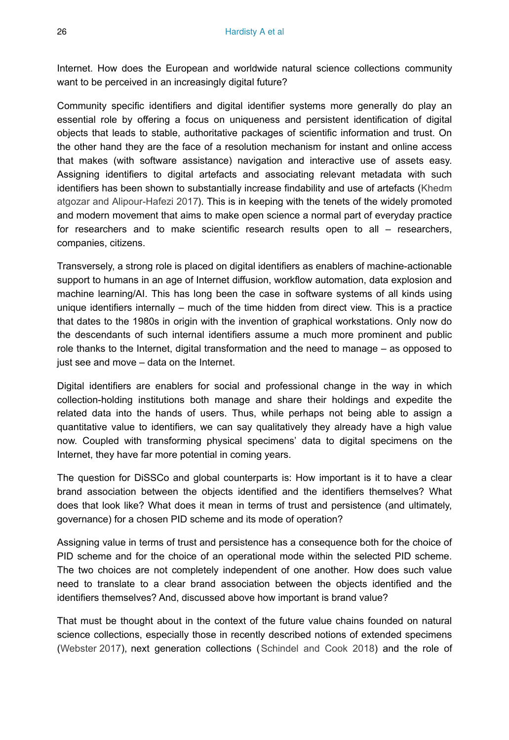Internet. How does the European and worldwide natural science collections community want to be perceived in an increasingly digital future?

Community specific identifiers and digital identifier systems more generally do play an essential role by offering a focus on uniqueness and persistent identification of digital objects that leads to stable, authoritative packages of scientific information and trust. On the other hand they are the face of a resolution mechanism for instant and online access that makes (with software assistance) navigation and interactive use of assets easy. Assigning identifiers to digital artefacts and associating relevant metadata with such identifiers has been shown to substantially increase findability and use of artefacts ([Khedm](#page-37-14) [atgozar and Alipour-Hafezi 2017\)](#page-37-14). This is in keeping with the tenets of the widely promoted and modern movement that aims to make open science a normal part of everyday practice for researchers and to make scientific research results open to all – researchers, companies, citizens.

Transversely, a strong role is placed on digital identifiers as enablers of machine-actionable support to humans in an age of Internet diffusion, workflow automation, data explosion and machine learning/AI. This has long been the case in software systems of all kinds using unique identifiers internally – much of the time hidden from direct view. This is a practice that dates to the 1980s in origin with the invention of graphical workstations. Only now do the descendants of such internal identifiers assume a much more prominent and public role thanks to the Internet, digital transformation and the need to manage – as opposed to just see and move – data on the Internet.

Digital identifiers are enablers for social and professional change in the way in which collection-holding institutions both manage and share their holdings and expedite the related data into the hands of users. Thus, while perhaps not being able to assign a quantitative value to identifiers, we can say qualitatively they already have a high value now. Coupled with transforming physical specimens' data to digital specimens on the Internet, they have far more potential in coming years.

The question for DiSSCo and global counterparts is: How important is it to have a clear brand association between the objects identified and the identifiers themselves? What does that look like? What does it mean in terms of trust and persistence (and ultimately, governance) for a chosen PID scheme and its mode of operation?

Assigning value in terms of trust and persistence has a consequence both for the choice of PID scheme and for the choice of an operational mode within the selected PID scheme. The two choices are not completely independent of one another. How does such value need to translate to a clear brand association between the objects identified and the identifiers themselves? And, discussed above how important is brand value?

That must be thought about in the context of the future value chains founded on natural science collections, especially those in recently described notions of extended specimens [\(Webster 2017](#page-38-1)), next generation collections ([Schindel and Cook 2018\)](#page-38-10) and the role of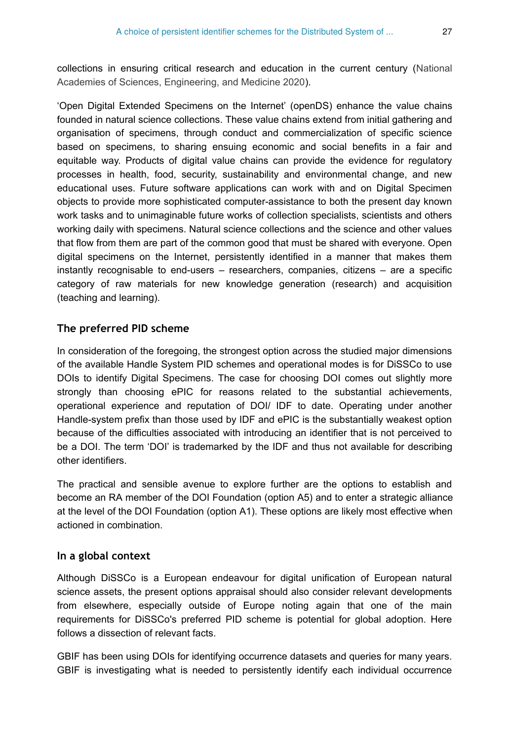collections in ensuring critical research and education in the current century [\(National](#page-38-11) [Academies of Sciences, Engineering, and Medicine 2020](#page-38-11)).

'Open Digital Extended Specimens on the Internet' (openDS) enhance the value chains founded in natural science collections. These value chains extend from initial gathering and organisation of specimens, through conduct and commercialization of specific science based on specimens, to sharing ensuing economic and social benefits in a fair and equitable way. Products of digital value chains can provide the evidence for regulatory processes in health, food, security, sustainability and environmental change, and new educational uses. Future software applications can work with and on Digital Specimen objects to provide more sophisticated computer-assistance to both the present day known work tasks and to unimaginable future works of collection specialists, scientists and others working daily with specimens. Natural science collections and the science and other values that flow from them are part of the common good that must be shared with everyone. Open digital specimens on the Internet, persistently identified in a manner that makes them instantly recognisable to end-users – researchers, companies, citizens – are a specific category of raw materials for new knowledge generation (research) and acquisition (teaching and learning).

### **The preferred PID scheme**

In consideration of the foregoing, the strongest option across the studied major dimensions of the available Handle System PID schemes and operational modes is for DiSSCo to use DOIs to identify Digital Specimens. The case for choosing DOI comes out slightly more strongly than choosing ePIC for reasons related to the substantial achievements, operational experience and reputation of DOI/ IDF to date. Operating under another Handle-system prefix than those used by IDF and ePIC is the substantially weakest option because of the difficulties associated with introducing an identifier that is not perceived to be a DOI. The term 'DOI' is trademarked by the IDF and thus not available for describing other identifiers.

The practical and sensible avenue to explore further are the options to establish and become an RA member of the DOI Foundation (option A5) and to enter a strategic alliance at the level of the DOI Foundation (option A1). These options are likely most effective when actioned in combination.

## **In a global context**

Although DiSSCo is a European endeavour for digital unification of European natural science assets, the present options appraisal should also consider relevant developments from elsewhere, especially outside of Europe noting again that one of the main requirements for DiSSCo's preferred PID scheme is potential for global adoption. Here follows a dissection of relevant facts.

GBIF has been using DOIs for identifying occurrence datasets and queries for many years. GBIF is investigating what is needed to persistently identify each individual occurrence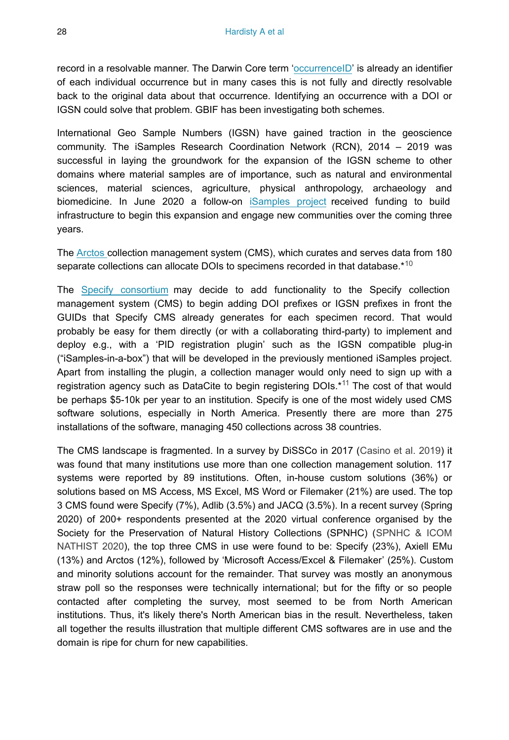record in a resolvable manner. The Darwin Core term '[occurrenceID](https://dwc.tdwg.org/terms/#dwc:occurrenceID)' is already an identifier of each individual occurrence but in many cases this is not fully and directly resolvable back to the original data about that occurrence. Identifying an occurrence with a DOI or IGSN could solve that problem. GBIF has been investigating both schemes.

International Geo Sample Numbers (IGSN) have gained traction in the geoscience community. The iSamples Research Coordination Network (RCN), 2014 – 2019 was successful in laying the groundwork for the expansion of the IGSN scheme to other domains where material samples are of importance, such as natural and environmental sciences, material sciences, agriculture, physical anthropology, archaeology and biomedicine. In June 2020 a follow-on [iSamples project](https://isamples.org/) received funding to build infrastructure to begin this expansion and engage new communities over the coming three years.

The [Arctos](https://arctosdb.org/) collection management system (CMS), which curates and serves data from 180 separate collections can allocate DOIs to specimens recorded in that database.\*<sup>[10](#page-41-0)</sup>

The [Specify consortium](https://www.specifysoftware.org/) may decide to add functionality to the Specify collection management system (CMS) to begin adding DOI prefixes or IGSN prefixes in front the GUIDs that Specify CMS already generates for each specimen record. That would probably be easy for them directly (or with a collaborating third-party) to implement and deploy e.g., with a 'PID registration plugin' such as the IGSN compatible plug-in ("iSamples-in-a-box") that will be developed in the previously mentioned iSamples project. Apart from installing the plugin, a collection manager would only need to sign up with a registrationagency such as DataCite to begin registering DOIs.\*<sup>11</sup> The cost of that would be perhaps \$5-10k per year to an institution. Specify is one of the most widely used CMS software solutions, especially in North America. Presently there are more than 275 installations of the software, managing 450 collections across 38 countries.

The CMS landscape is fragmented. In a survey by DiSSCo in 2017 ([Casino et al. 2019\)](#page-36-10) it was found that many institutions use more than one collection management solution. 117 systems were reported by 89 institutions. Often, in-house custom solutions (36%) or solutions based on MS Access, MS Excel, MS Word or Filemaker (21%) are used. The top 3 CMS found were Specify (7%), Adlib (3.5%) and JACQ (3.5%). In a recent survey (Spring 2020) of 200+ respondents presented at the 2020 virtual conference organised by the Society for the Preservation of Natural History Collections (SPNHC) [\(SPNHC & ICOM](#page-38-12) [NATHIST 2020\)](#page-38-12), the top three CMS in use were found to be: Specify (23%), Axiell EMu (13%) and Arctos (12%), followed by 'Microsoft Access/Excel & Filemaker' (25%). Custom and minority solutions account for the remainder. That survey was mostly an anonymous straw poll so the responses were technically international; but for the fifty or so people contacted after completing the survey, most seemed to be from North American institutions. Thus, it's likely there's North American bias in the result. Nevertheless, taken all together the results illustration that multiple different CMS softwares are in use and the domain is ripe for churn for new capabilities.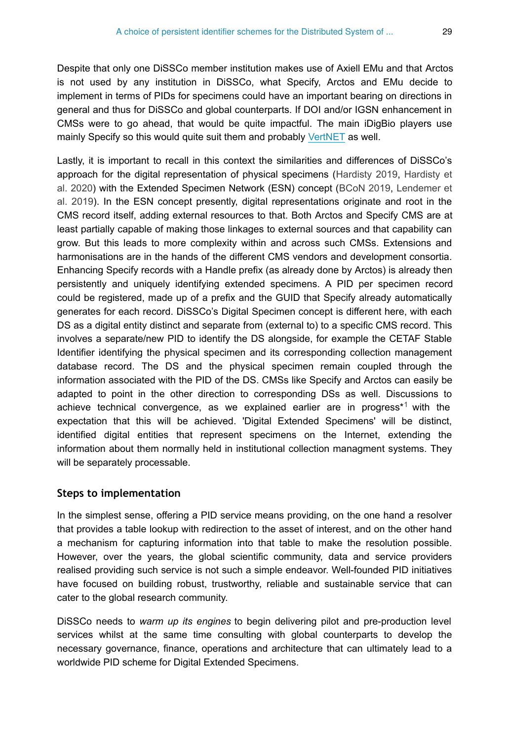Despite that only one DiSSCo member institution makes use of Axiell EMu and that Arctos is not used by any institution in DiSSCo, what Specify, Arctos and EMu decide to implement in terms of PIDs for specimens could have an important bearing on directions in general and thus for DiSSCo and global counterparts. If DOI and/or IGSN enhancement in CMSs were to go ahead, that would be quite impactful. The main iDigBio players use mainly Specify so this would quite suit them and probably [VertNET](http://vertnet.org/) as well.

Lastly, it is important to recall in this context the similarities and differences of DiSSCo's approach for the digital representation of physical specimens ([Hardisty 2019](#page-37-0), [Hardisty et](#page-37-1) [al. 2020](#page-37-1)) with the Extended Specimen Network (ESN) concept [\(BCoN 2019,](#page-36-2) [Lendemer et](#page-38-2) [al. 2019\)](#page-38-2). In the ESN concept presently, digital representations originate and root in the CMS record itself, adding external resources to that. Both Arctos and Specify CMS are at least partially capable of making those linkages to external sources and that capability can grow. But this leads to more complexity within and across such CMSs. Extensions and harmonisations are in the hands of the different CMS vendors and development consortia. Enhancing Specify records with a Handle prefix (as already done by Arctos) is already then persistently and uniquely identifying extended specimens. A PID per specimen record could be registered, made up of a prefix and the GUID that Specify already automatically generates for each record. DiSSCo's Digital Specimen concept is different here, with each DS as a digital entity distinct and separate from (external to) to a specific CMS record. This involves a separate/new PID to identify the DS alongside, for example the CETAF Stable Identifier identifying the physical specimen and its corresponding collection management database record. The DS and the physical specimen remain coupled through the information associated with the PID of the DS. CMSs like Specify and Arctos can easily be adapted to point in the other direction to corresponding DSs as well. Discussions to achievetechnical convergence, as we explained earlier are in progress<sup>\*1</sup> with the expectation that this will be achieved. 'Digital Extended Specimens' will be distinct, identified digital entities that represent specimens on the Internet, extending the information about them normally held in institutional collection managment systems. They will be separately processable.

### **Steps to implementation**

In the simplest sense, offering a PID service means providing, on the one hand a resolver that provides a table lookup with redirection to the asset of interest, and on the other hand a mechanism for capturing information into that table to make the resolution possible. However, over the years, the global scientific community, data and service providers realised providing such service is not such a simple endeavor. Well-founded PID initiatives have focused on building robust, trustworthy, reliable and sustainable service that can cater to the global research community.

DiSSCo needs to *warm up its engines* to begin delivering pilot and pre-production level services whilst at the same time consulting with global counterparts to develop the necessary governance, finance, operations and architecture that can ultimately lead to a worldwide PID scheme for Digital Extended Specimens.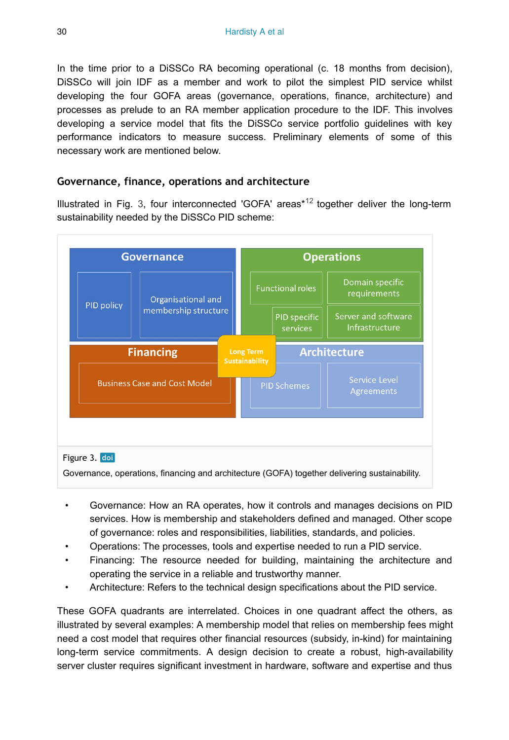In the time prior to a DiSSCo RA becoming operational (c. 18 months from decision), DiSSCo will join IDF as a member and work to pilot the simplest PID service whilst developing the four GOFA areas (governance, operations, finance, architecture) and processes as prelude to an RA member application procedure to the IDF. This involves developing a service model that fits the DiSSCo service portfolio guidelines with key performance indicators to measure success. Preliminary elements of some of this necessary work are mentioned below.

#### **Governance, finance, operations and architecture**

Illustrated in Fig. [3](#page-29-0), four interconnected 'GOFA' areas<sup>\*12</sup> together deliver the long-term sustainability needed by the DiSSCo PID scheme:

<span id="page-29-0"></span>

- Governance: How an RA operates, how it controls and manages decisions on PID services. How is membership and stakeholders defined and managed. Other scope of governance: roles and responsibilities, liabilities, standards, and policies.
- Operations: The processes, tools and expertise needed to run a PID service.
- Financing: The resource needed for building, maintaining the architecture and operating the service in a reliable and trustworthy manner.
- Architecture: Refers to the technical design specifications about the PID service.

These GOFA quadrants are interrelated. Choices in one quadrant affect the others, as illustrated by several examples: A membership model that relies on membership fees might need a cost model that requires other financial resources (subsidy, in-kind) for maintaining long-term service commitments. A design decision to create a robust, high-availability server cluster requires significant investment in hardware, software and expertise and thus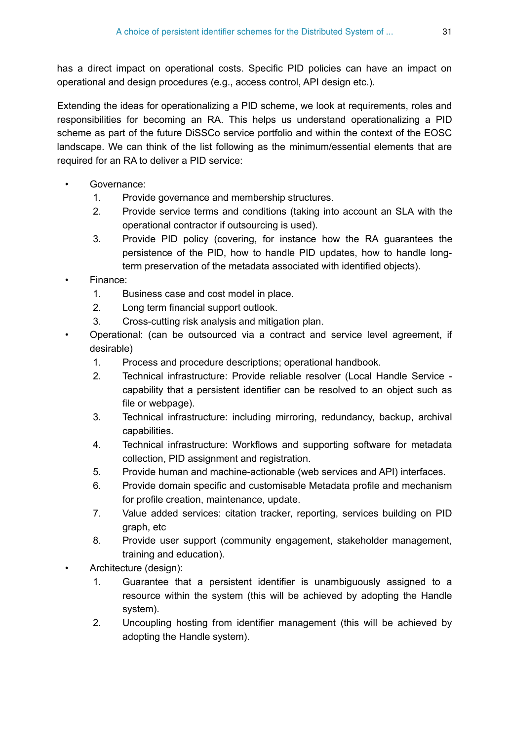has a direct impact on operational costs. Specific PID policies can have an impact on operational and design procedures (e.g., access control, API design etc.).

Extending the ideas for operationalizing a PID scheme, we look at requirements, roles and responsibilities for becoming an RA. This helps us understand operationalizing a PID scheme as part of the future DiSSCo service portfolio and within the context of the EOSC landscape. We can think of the list following as the minimum/essential elements that are required for an RA to deliver a PID service:

- Governance:
	- 1. Provide governance and membership structures.
	- 2. Provide service terms and conditions (taking into account an SLA with the operational contractor if outsourcing is used).
	- 3. Provide PID policy (covering, for instance how the RA guarantees the persistence of the PID, how to handle PID updates, how to handle longterm preservation of the metadata associated with identified objects).
- Finance:
	- 1. Business case and cost model in place.
	- 2. Long term financial support outlook.
	- 3. Cross-cutting risk analysis and mitigation plan.
- Operational: (can be outsourced via a contract and service level agreement, if desirable)
	- 1. Process and procedure descriptions; operational handbook.
	- 2. Technical infrastructure: Provide reliable resolver (Local Handle Service capability that a persistent identifier can be resolved to an object such as file or webpage).
	- 3. Technical infrastructure: including mirroring, redundancy, backup, archival capabilities.
	- 4. Technical infrastructure: Workflows and supporting software for metadata collection, PID assignment and registration.
	- 5. Provide human and machine-actionable (web services and API) interfaces.
	- 6. Provide domain specific and customisable Metadata profile and mechanism for profile creation, maintenance, update.
	- 7. Value added services: citation tracker, reporting, services building on PID graph, etc
	- 8. Provide user support (community engagement, stakeholder management, training and education).
- Architecture (design):
	- 1. Guarantee that a persistent identifier is unambiguously assigned to a resource within the system (this will be achieved by adopting the Handle system).
	- 2. Uncoupling hosting from identifier management (this will be achieved by adopting the Handle system).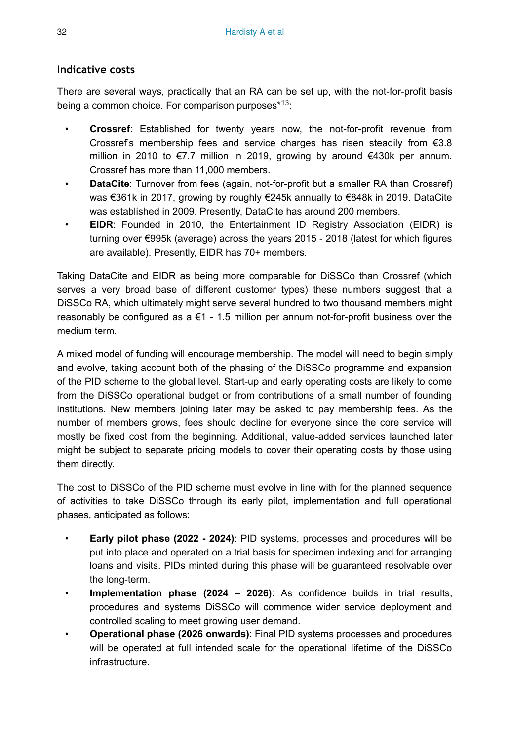## **Indicative costs**

There are several ways, practically that an RA can be set up, with the not-for-profit basis being a common choice. For comparison purposes $*13$ :

- **Crossref**: Established for twenty years now, the not-for-profit revenue from Crossref's membership fees and service charges has risen steadily from  $\epsilon$ 3.8 million in 2010 to €7.7 million in 2019, growing by around €430k per annum. Crossref has more than 11,000 members.
- **DataCite**: Turnover from fees (again, not-for-profit but a smaller RA than Crossref) was €361k in 2017, growing by roughly €245k annually to €848k in 2019. DataCite was established in 2009. Presently, DataCite has around 200 members.
- **EIDR**: Founded in 2010, the Entertainment ID Registry Association (EIDR) is turning over €995k (average) across the years 2015 - 2018 (latest for which figures are available). Presently, EIDR has 70+ members.

Taking DataCite and EIDR as being more comparable for DiSSCo than Crossref (which serves a very broad base of different customer types) these numbers suggest that a DiSSCo RA, which ultimately might serve several hundred to two thousand members might reasonably be configured as  $a \in 1$  - 1.5 million per annum not-for-profit business over the medium term.

A mixed model of funding will encourage membership. The model will need to begin simply and evolve, taking account both of the phasing of the DiSSCo programme and expansion of the PID scheme to the global level. Start-up and early operating costs are likely to come from the DiSSCo operational budget or from contributions of a small number of founding institutions. New members joining later may be asked to pay membership fees. As the number of members grows, fees should decline for everyone since the core service will mostly be fixed cost from the beginning. Additional, value-added services launched later might be subject to separate pricing models to cover their operating costs by those using them directly.

The cost to DiSSCo of the PID scheme must evolve in line with for the planned sequence of activities to take DiSSCo through its early pilot, implementation and full operational phases, anticipated as follows:

- **Early pilot phase (2022 2024)**: PID systems, processes and procedures will be put into place and operated on a trial basis for specimen indexing and for arranging loans and visits. PIDs minted during this phase will be guaranteed resolvable over the long-term.
- **Implementation phase (2024 2026)**: As confidence builds in trial results, procedures and systems DiSSCo will commence wider service deployment and controlled scaling to meet growing user demand.
- **Operational phase (2026 onwards)**: Final PID systems processes and procedures will be operated at full intended scale for the operational lifetime of the DiSSCo infrastructure.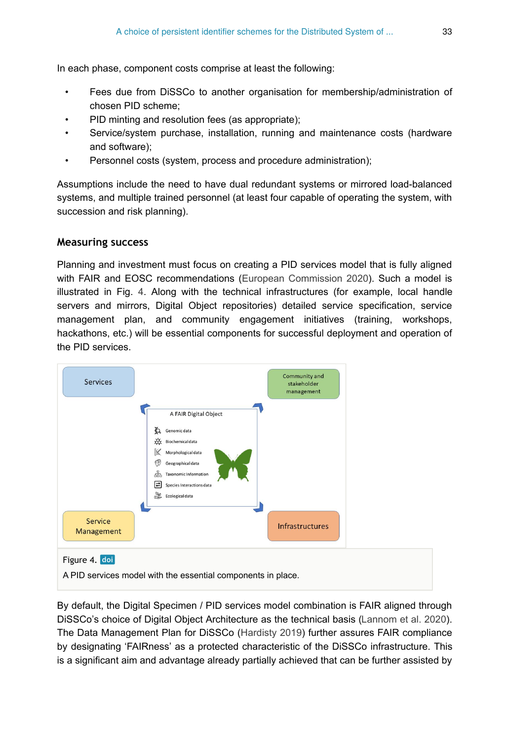In each phase, component costs comprise at least the following:

- Fees due from DiSSCo to another organisation for membership/administration of chosen PID scheme;
- PID minting and resolution fees (as appropriate);
- Service/system purchase, installation, running and maintenance costs (hardware and software);
- Personnel costs (system, process and procedure administration);

Assumptions include the need to have dual redundant systems or mirrored load-balanced systems, and multiple trained personnel (at least four capable of operating the system, with succession and risk planning).

### **Measuring success**

Planning and investment must focus on creating a PID services model that is fully aligned with FAIR and EOSC recommendations [\(European Commission 2020](#page-37-8)). Such a model is illustrated in Fig. [4.](#page-32-0) Along with the technical infrastructures (for example, local handle servers and mirrors, Digital Object repositories) detailed service specification, service management plan, and community engagement initiatives (training, workshops, hackathons, etc.) will be essential components for successful deployment and operation of the PID services.

<span id="page-32-0"></span>

By default, the Digital Specimen / PID services model combination is FAIR aligned through DiSSCo's choice of Digital Object Architecture as the technical basis [\(Lannom et al. 2020\)](#page-37-2). The Data Management Plan for DiSSCo ([Hardisty 2019](#page-37-0)) further assures FAIR compliance by designating 'FAIRness' as a protected characteristic of the DiSSCo infrastructure. This is a significant aim and advantage already partially achieved that can be further assisted by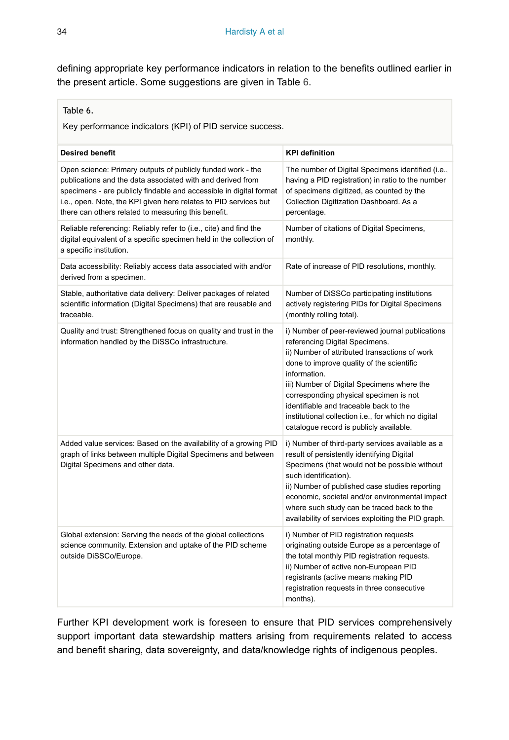defining appropriate key performance indicators in relation to the benefits outlined earlier in the present article. Some suggestions are given in Table [6](#page-33-0).

#### <span id="page-33-0"></span>Table 6.

Key performance indicators (KPI) of PID service success.

| <b>Desired benefit</b>                                                                                                                                                                                                                                                                                                     | <b>KPI definition</b>                                                                                                                                                                                                                                                                                                                                                                                                               |
|----------------------------------------------------------------------------------------------------------------------------------------------------------------------------------------------------------------------------------------------------------------------------------------------------------------------------|-------------------------------------------------------------------------------------------------------------------------------------------------------------------------------------------------------------------------------------------------------------------------------------------------------------------------------------------------------------------------------------------------------------------------------------|
| Open science: Primary outputs of publicly funded work - the<br>publications and the data associated with and derived from<br>specimens - are publicly findable and accessible in digital format<br>i.e., open. Note, the KPI given here relates to PID services but<br>there can others related to measuring this benefit. | The number of Digital Specimens identified (i.e.,<br>having a PID registration) in ratio to the number<br>of specimens digitized, as counted by the<br>Collection Digitization Dashboard. As a<br>percentage.                                                                                                                                                                                                                       |
| Reliable referencing: Reliably refer to (i.e., cite) and find the<br>digital equivalent of a specific specimen held in the collection of<br>a specific institution.                                                                                                                                                        | Number of citations of Digital Specimens,<br>monthly.                                                                                                                                                                                                                                                                                                                                                                               |
| Data accessibility: Reliably access data associated with and/or<br>derived from a specimen.                                                                                                                                                                                                                                | Rate of increase of PID resolutions, monthly.                                                                                                                                                                                                                                                                                                                                                                                       |
| Stable, authoritative data delivery: Deliver packages of related<br>scientific information (Digital Specimens) that are reusable and<br>traceable.                                                                                                                                                                         | Number of DiSSCo participating institutions<br>actively registering PIDs for Digital Specimens<br>(monthly rolling total).                                                                                                                                                                                                                                                                                                          |
| Quality and trust: Strengthened focus on quality and trust in the<br>information handled by the DiSSCo infrastructure.                                                                                                                                                                                                     | i) Number of peer-reviewed journal publications<br>referencing Digital Specimens.<br>ii) Number of attributed transactions of work<br>done to improve quality of the scientific<br>information.<br>iii) Number of Digital Specimens where the<br>corresponding physical specimen is not<br>identifiable and traceable back to the<br>institutional collection i.e., for which no digital<br>catalogue record is publicly available. |
| Added value services: Based on the availability of a growing PID<br>graph of links between multiple Digital Specimens and between<br>Digital Specimens and other data.                                                                                                                                                     | i) Number of third-party services available as a<br>result of persistently identifying Digital<br>Specimens (that would not be possible without<br>such identification).<br>ii) Number of published case studies reporting<br>economic, societal and/or environmental impact<br>where such study can be traced back to the<br>availability of services exploiting the PID graph.                                                    |
| Global extension: Serving the needs of the global collections<br>science community. Extension and uptake of the PID scheme<br>outside DiSSCo/Europe.                                                                                                                                                                       | i) Number of PID registration requests<br>originating outside Europe as a percentage of<br>the total monthly PID registration requests.<br>ii) Number of active non-European PID<br>registrants (active means making PID<br>registration requests in three consecutive<br>months).                                                                                                                                                  |

Further KPI development work is foreseen to ensure that PID services comprehensively support important data stewardship matters arising from requirements related to access and benefit sharing, data sovereignty, and data/knowledge rights of indigenous peoples.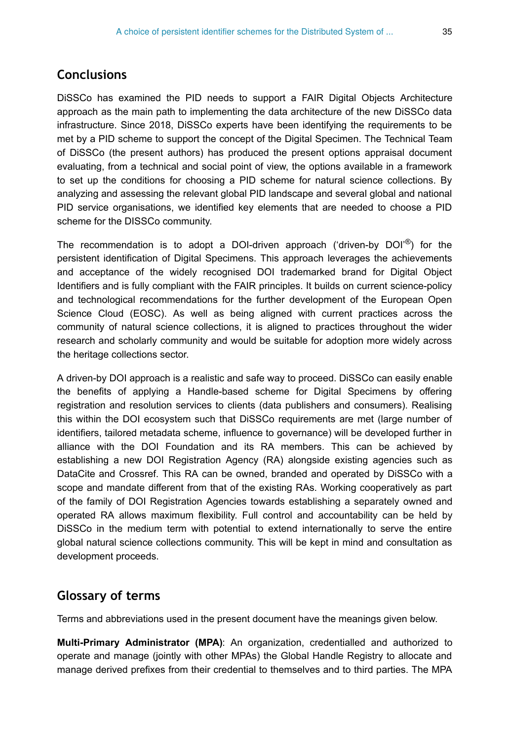# **Conclusions**

DiSSCo has examined the PID needs to support a FAIR Digital Objects Architecture approach as the main path to implementing the data architecture of the new DiSSCo data infrastructure. Since 2018, DiSSCo experts have been identifying the requirements to be met by a PID scheme to support the concept of the Digital Specimen. The Technical Team of DiSSCo (the present authors) has produced the present options appraisal document evaluating, from a technical and social point of view, the options available in a framework to set up the conditions for choosing a PID scheme for natural science collections. By analyzing and assessing the relevant global PID landscape and several global and national PID service organisations, we identified key elements that are needed to choose a PID scheme for the DISSCo community.

The recommendation is to adopt a DOI-driven approach ('driven-by DOI'<sup>®</sup>) for the persistent identification of Digital Specimens. This approach leverages the achievements and acceptance of the widely recognised DOI trademarked brand for Digital Object Identifiers and is fully compliant with the FAIR principles. It builds on current science-policy and technological recommendations for the further development of the European Open Science Cloud (EOSC). As well as being aligned with current practices across the community of natural science collections, it is aligned to practices throughout the wider research and scholarly community and would be suitable for adoption more widely across the heritage collections sector.

A driven-by DOI approach is a realistic and safe way to proceed. DiSSCo can easily enable the benefits of applying a Handle-based scheme for Digital Specimens by offering registration and resolution services to clients (data publishers and consumers). Realising this within the DOI ecosystem such that DiSSCo requirements are met (large number of identifiers, tailored metadata scheme, influence to governance) will be developed further in alliance with the DOI Foundation and its RA members. This can be achieved by establishing a new DOI Registration Agency (RA) alongside existing agencies such as DataCite and Crossref. This RA can be owned, branded and operated by DiSSCo with a scope and mandate different from that of the existing RAs. Working cooperatively as part of the family of DOI Registration Agencies towards establishing a separately owned and operated RA allows maximum flexibility. Full control and accountability can be held by DiSSCo in the medium term with potential to extend internationally to serve the entire global natural science collections community. This will be kept in mind and consultation as development proceeds.

# **Glossary of terms**

Terms and abbreviations used in the present document have the meanings given below.

**Multi-Primary Administrator (MPA)**: An organization, credentialled and authorized to operate and manage (jointly with other MPAs) the Global Handle Registry to allocate and manage derived prefixes from their credential to themselves and to third parties. The MPA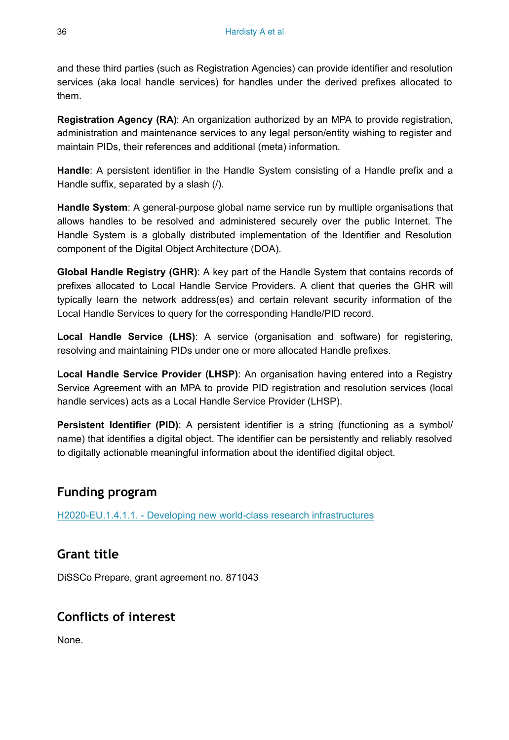and these third parties (such as Registration Agencies) can provide identifier and resolution services (aka local handle services) for handles under the derived prefixes allocated to them.

**Registration Agency (RA)**: An organization authorized by an MPA to provide registration, administration and maintenance services to any legal person/entity wishing to register and maintain PIDs, their references and additional (meta) information.

**Handle**: A persistent identifier in the Handle System consisting of a Handle prefix and a Handle suffix, separated by a slash (/).

**Handle System**: A general-purpose global name service run by multiple organisations that allows handles to be resolved and administered securely over the public Internet. The Handle System is a globally distributed implementation of the Identifier and Resolution component of the Digital Object Architecture (DOA).

**Global Handle Registry (GHR)**: A key part of the Handle System that contains records of prefixes allocated to Local Handle Service Providers. A client that queries the GHR will typically learn the network address(es) and certain relevant security information of the Local Handle Services to query for the corresponding Handle/PID record.

**Local Handle Service (LHS)**: A service (organisation and software) for registering, resolving and maintaining PIDs under one or more allocated Handle prefixes.

**Local Handle Service Provider (LHSP)**: An organisation having entered into a Registry Service Agreement with an MPA to provide PID registration and resolution services (local handle services) acts as a Local Handle Service Provider (LHSP).

**Persistent Identifier (PID)**: A persistent identifier is a string (functioning as a symbol/ name) that identifies a digital object. The identifier can be persistently and reliably resolved to digitally actionable meaningful information about the identified digital object.

# **Funding program**

[H2020-EU.1.4.1.1. - Developing new world-class research infrastructures](https://cordis.europa.eu/programme/id/H2020-EU.1.4.1.1.)

# **Grant title**

DiSSCo Prepare, grant agreement no. 871043

# **Conflicts of interest**

None.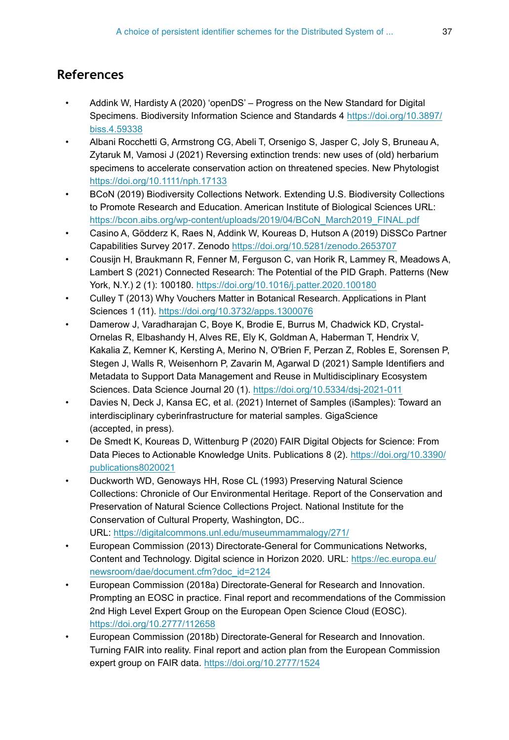# **References**

- <span id="page-36-11"></span>• Addink W, Hardisty A (2020) 'openDS' – Progress on the New Standard for Digital Specimens. Biodiversity Information Science and Standards 4 [https://doi.org/10.3897/](https://doi.org/10.3897/biss.4.59338) [biss.4.59338](https://doi.org/10.3897/biss.4.59338)
- <span id="page-36-1"></span>• Albani Rocchetti G, Armstrong CG, Abeli T, Orsenigo S, Jasper C, Joly S, Bruneau A, Zytaruk M, Vamosi J (2021) Reversing extinction trends: new uses of (old) herbarium specimens to accelerate conservation action on threatened species. New Phytologist <https://doi.org/10.1111/nph.17133>
- <span id="page-36-2"></span>• BCoN (2019) Biodiversity Collections Network. Extending U.S. Biodiversity Collections to Promote Research and Education. American Institute of Biological Sciences URL: [https://bcon.aibs.org/wp-content/uploads/2019/04/BCoN\\_March2019\\_FINAL.pdf](https://bcon.aibs.org/wp-content/uploads/2019/04/BCoN_March2019_FINAL.pdf)
- <span id="page-36-10"></span>• Casino A, Gödderz K, Raes N, Addink W, Koureas D, Hutson A (2019) DiSSCo Partner Capabilities Survey 2017. Zenodo<https://doi.org/10.5281/zenodo.2653707>
- <span id="page-36-7"></span>• Cousijn H, Braukmann R, Fenner M, Ferguson C, van Horik R, Lammey R, Meadows A, Lambert S (2021) Connected Research: The Potential of the PID Graph. Patterns (New York, N.Y.) 2 (1): 100180.<https://doi.org/10.1016/j.patter.2020.100180>
- <span id="page-36-6"></span>• Culley T (2013) Why Vouchers Matter in Botanical Research. Applications in Plant Sciences 1 (11). <https://doi.org/10.3732/apps.1300076>
- <span id="page-36-12"></span>• Damerow J, Varadharajan C, Boye K, Brodie E, Burrus M, Chadwick KD, Crystal-Ornelas R, Elbashandy H, Alves RE, Ely K, Goldman A, Haberman T, Hendrix V, Kakalia Z, Kemner K, Kersting A, Merino N, O'Brien F, Perzan Z, Robles E, Sorensen P, Stegen J, Walls R, Weisenhorn P, Zavarin M, Agarwal D (2021) Sample Identifiers and Metadata to Support Data Management and Reuse in Multidisciplinary Ecosystem Sciences. Data Science Journal 20 (1). <https://doi.org/10.5334/dsj-2021-011>
- <span id="page-36-9"></span>• Davies N, Deck J, Kansa EC, et al. (2021) Internet of Samples (iSamples): Toward an interdisciplinary cyberinfrastructure for material samples. GigaScience (accepted, in press).
- <span id="page-36-5"></span>• De Smedt K, Koureas D, Wittenburg P (2020) FAIR Digital Objects for Science: From Data Pieces to Actionable Knowledge Units. Publications 8 (2). [https://doi.org/10.3390/](https://doi.org/10.3390/publications8020021) [publications8020021](https://doi.org/10.3390/publications8020021)
- <span id="page-36-8"></span>• Duckworth WD, Genoways HH, Rose CL (1993) Preserving Natural Science Collections: Chronicle of Our Environmental Heritage. Report of the Conservation and Preservation of Natural Science Collections Project. National Institute for the Conservation of Cultural Property, Washington, DC.. URL:<https://digitalcommons.unl.edu/museummammalogy/271/>
- <span id="page-36-0"></span>• European Commission (2013) Directorate-General for Communications Networks, Content and Technology. Digital science in Horizon 2020. URL: [https://ec.europa.eu/](https://ec.europa.eu/newsroom/dae/document.cfm?doc_id=2124) [newsroom/dae/document.cfm?doc\\_id=2124](https://ec.europa.eu/newsroom/dae/document.cfm?doc_id=2124)
- <span id="page-36-3"></span>• European Commission (2018a) Directorate-General for Research and Innovation. Prompting an EOSC in practice. Final report and recommendations of the Commission 2nd High Level Expert Group on the European Open Science Cloud (EOSC). <https://doi.org/10.2777/112658>
- <span id="page-36-4"></span>• European Commission (2018b) Directorate-General for Research and Innovation. Turning FAIR into reality. Final report and action plan from the European Commission expert group on FAIR data.<https://doi.org/10.2777/1524>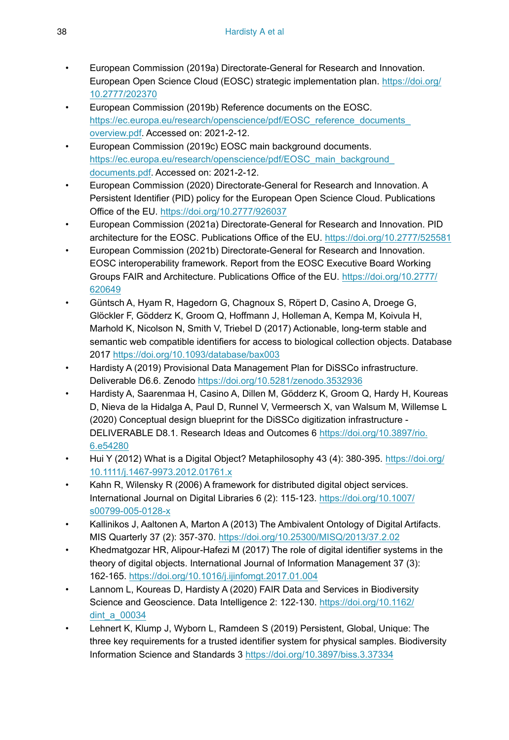- <span id="page-37-4"></span>• European Commission (2019a) Directorate-General for Research and Innovation. European Open Science Cloud (EOSC) strategic implementation plan. [https://doi.org/](https://doi.org/10.2777/202370) [10.2777/202370](https://doi.org/10.2777/202370)
- <span id="page-37-5"></span>• European Commission (2019b) Reference documents on the EOSC. https://ec.europa.eu/research/openscience/pdf/EOSC\_reference\_documents [overview.pdf.](https://ec.europa.eu/research/openscience/pdf/EOSC_reference_documents_overview.pdf) Accessed on: 2021-2-12.
- <span id="page-37-6"></span>• European Commission (2019c) EOSC main background documents. https://ec.europa.eu/research/openscience/pdf/EOSC\_main\_background [documents.pdf.](https://ec.europa.eu/research/openscience/pdf/EOSC_main_background_documents.pdf) Accessed on: 2021-2-12.
- <span id="page-37-8"></span>• European Commission (2020) Directorate-General for Research and Innovation. A Persistent Identifier (PID) policy for the European Open Science Cloud. Publications Office of the EU.<https://doi.org/10.2777/926037>
- <span id="page-37-13"></span>• European Commission (2021a) Directorate-General for Research and Innovation. PID architecture for the EOSC. Publications Office of the EU. <https://doi.org/10.2777/525581>
- <span id="page-37-7"></span>• European Commission (2021b) Directorate-General for Research and Innovation. EOSC interoperability framework. Report from the EOSC Executive Board Working Groups FAIR and Architecture. Publications Office of the EU. [https://doi.org/10.2777/](https://doi.org/10.2777/620649) [620649](https://doi.org/10.2777/620649)
- <span id="page-37-9"></span>• Güntsch A, Hyam R, Hagedorn G, Chagnoux S, Röpert D, Casino A, Droege G, Glöckler F, Gödderz K, Groom Q, Hoffmann J, Holleman A, Kempa M, Koivula H, Marhold K, Nicolson N, Smith V, Triebel D (2017) Actionable, long-term stable and semantic web compatible identifiers for access to biological collection objects. Database 2017 <https://doi.org/10.1093/database/bax003>
- <span id="page-37-0"></span>• Hardisty A (2019) Provisional Data Management Plan for DiSSCo infrastructure. Deliverable D6.6. Zenodo <https://doi.org/10.5281/zenodo.3532936>
- <span id="page-37-1"></span>• Hardisty A, Saarenmaa H, Casino A, Dillen M, Gödderz K, Groom Q, Hardy H, Koureas D, Nieva de la Hidalga A, Paul D, Runnel V, Vermeersch X, van Walsum M, Willemse L (2020) Conceptual design blueprint for the DiSSCo digitization infrastructure - DELIVERABLE D8.1. Research Ideas and Outcomes 6 [https://doi.org/10.3897/rio.](https://doi.org/10.3897/rio.6.e54280) [6.e54280](https://doi.org/10.3897/rio.6.e54280)
- <span id="page-37-11"></span>Hui Y (2012) What is a Digital Object? Metaphilosophy 43 (4): 380-395. [https://doi.org/](https://doi.org/10.1111/j.1467-9973.2012.01761.x) [10.1111/j.1467-9973.2012.01761.x](https://doi.org/10.1111/j.1467-9973.2012.01761.x)
- <span id="page-37-3"></span>• Kahn R, Wilensky R (2006) A framework for distributed digital object services. International Journal on Digital Libraries 6 (2): 115‑123. [https://doi.org/10.1007/](https://doi.org/10.1007/s00799-005-0128-x) [s00799-005-0128-x](https://doi.org/10.1007/s00799-005-0128-x)
- <span id="page-37-12"></span>• Kallinikos J, Aaltonen A, Marton A (2013) The Ambivalent Ontology of Digital Artifacts. MIS Quarterly 37 (2): 357‑370. <https://doi.org/10.25300/MISQ/2013/37.2.02>
- <span id="page-37-14"></span>• Khedmatgozar HR, Alipour-Hafezi M (2017) The role of digital identifier systems in the theory of digital objects. International Journal of Information Management 37 (3): 162‑165. <https://doi.org/10.1016/j.ijinfomgt.2017.01.004>
- <span id="page-37-2"></span>• Lannom L, Koureas D, Hardisty A (2020) FAIR Data and Services in Biodiversity Science and Geoscience. Data Intelligence 2: 122‑130. [https://doi.org/10.1162/](https://doi.org/10.1162/dint_a_00034) [dint\\_a\\_00034](https://doi.org/10.1162/dint_a_00034)
- <span id="page-37-10"></span>• Lehnert K, Klump J, Wyborn L, Ramdeen S (2019) Persistent, Global, Unique: The three key requirements for a trusted identifier system for physical samples. Biodiversity Information Science and Standards 3 <https://doi.org/10.3897/biss.3.37334>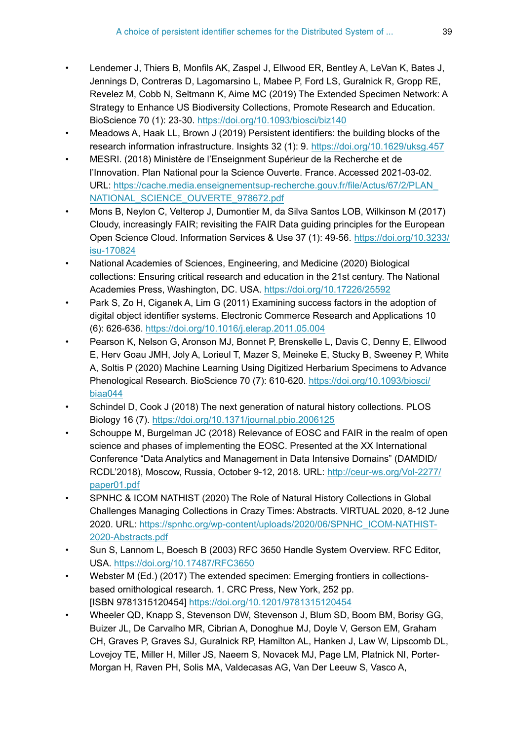- <span id="page-38-2"></span>• Lendemer J, Thiers B, Monfils AK, Zaspel J, Ellwood ER, Bentley A, LeVan K, Bates J, Jennings D, Contreras D, Lagomarsino L, Mabee P, Ford LS, Guralnick R, Gropp RE, Revelez M, Cobb N, Seltmann K, Aime MC (2019) The Extended Specimen Network: A Strategy to Enhance US Biodiversity Collections, Promote Research and Education. BioScience 70 (1): 23‑30.<https://doi.org/10.1093/biosci/biz140>
- <span id="page-38-3"></span>• Meadows A, Haak LL, Brown J (2019) Persistent identifiers: the building blocks of the research information infrastructure. Insights 32 (1): 9. <https://doi.org/10.1629/uksg.457>
- <span id="page-38-9"></span>• MESRI. (2018) Ministère de l'Enseignment Supérieur de la Recherche et de l'Innovation. Plan National pour la Science Ouverte. France. Accessed 2021-03-02. URL: [https://cache.media.enseignementsup-recherche.gouv.fr/file/Actus/67/2/PLAN\\_](https://cache.media.enseignementsup-recherche.gouv.fr/file/Actus/67/2/PLAN_NATIONAL_SCIENCE_OUVERTE_978672.pdf) [NATIONAL\\_SCIENCE\\_OUVERTE\\_978672.pdf](https://cache.media.enseignementsup-recherche.gouv.fr/file/Actus/67/2/PLAN_NATIONAL_SCIENCE_OUVERTE_978672.pdf)
- <span id="page-38-4"></span>• Mons B, Neylon C, Velterop J, Dumontier M, da Silva Santos LOB, Wilkinson M (2017) Cloudy, increasingly FAIR; revisiting the FAIR Data guiding principles for the European Open Science Cloud. Information Services & Use 37 (1): 49-56. [https://doi.org/10.3233/](https://doi.org/10.3233/isu-170824) [isu-170824](https://doi.org/10.3233/isu-170824)
- <span id="page-38-11"></span>• National Academies of Sciences, Engineering, and Medicine (2020) Biological collections: Ensuring critical research and education in the 21st century. The National Academies Press, Washington, DC. USA. <https://doi.org/10.17226/25592>
- <span id="page-38-8"></span>• Park S, Zo H, Ciganek A, Lim G (2011) Examining success factors in the adoption of digital object identifier systems. Electronic Commerce Research and Applications 10 (6): 626‑636. <https://doi.org/10.1016/j.elerap.2011.05.004>
- <span id="page-38-0"></span>• Pearson K, Nelson G, Aronson MJ, Bonnet P, Brenskelle L, Davis C, Denny E, Ellwood E, Herv Goau JMH, Joly A, Lorieul T, Mazer S, Meineke E, Stucky B, Sweeney P, White A, Soltis P (2020) Machine Learning Using Digitized Herbarium Specimens to Advance Phenological Research. BioScience 70 (7): 610-620. [https://doi.org/10.1093/biosci/](https://doi.org/10.1093/biosci/biaa044) [biaa044](https://doi.org/10.1093/biosci/biaa044)
- <span id="page-38-10"></span>• Schindel D, Cook J (2018) The next generation of natural history collections. PLOS Biology 16 (7). <https://doi.org/10.1371/journal.pbio.2006125>
- <span id="page-38-5"></span>• Schouppe M, Burgelman JC (2018) Relevance of EOSC and FAIR in the realm of open science and phases of implementing the EOSC. Presented at the XX International Conference "Data Analytics and Management in Data Intensive Domains" (DAMDID/ RCDL'2018), Moscow, Russia, October 9-12, 2018. URL: [http://ceur-ws.org/Vol-2277/](http://ceur-ws.org/Vol-2277/paper01.pdf) [paper01.pdf](http://ceur-ws.org/Vol-2277/paper01.pdf)
- <span id="page-38-12"></span>• SPNHC & ICOM NATHIST (2020) The Role of Natural History Collections in Global Challenges Managing Collections in Crazy Times: Abstracts. VIRTUAL 2020, 8-12 June 2020. URL: [https://spnhc.org/wp-content/uploads/2020/06/SPNHC\\_ICOM-NATHIST-](https://spnhc.org/wp-content/uploads/2020/06/SPNHC_ICOM-NATHIST-2020-Abstracts.pdf)[2020-Abstracts.pdf](https://spnhc.org/wp-content/uploads/2020/06/SPNHC_ICOM-NATHIST-2020-Abstracts.pdf)
- <span id="page-38-6"></span>• Sun S, Lannom L, Boesch B (2003) RFC 3650 Handle System Overview. RFC Editor, USA. <https://doi.org/10.17487/RFC3650>
- <span id="page-38-1"></span>• Webster M (Ed.) (2017) The extended specimen: Emerging frontiers in collectionsbased ornithological research. 1. CRC Press, New York, 252 pp. [ISBN 9781315120454] <https://doi.org/10.1201/9781315120454>
- <span id="page-38-7"></span>• Wheeler QD, Knapp S, Stevenson DW, Stevenson J, Blum SD, Boom BM, Borisy GG, Buizer JL, De Carvalho MR, Cibrian A, Donoghue MJ, Doyle V, Gerson EM, Graham CH, Graves P, Graves SJ, Guralnick RP, Hamilton AL, Hanken J, Law W, Lipscomb DL, Lovejoy TE, Miller H, Miller JS, Naeem S, Novacek MJ, Page LM, Platnick NI, Porter-Morgan H, Raven PH, Solis MA, Valdecasas AG, Van Der Leeuw S, Vasco A,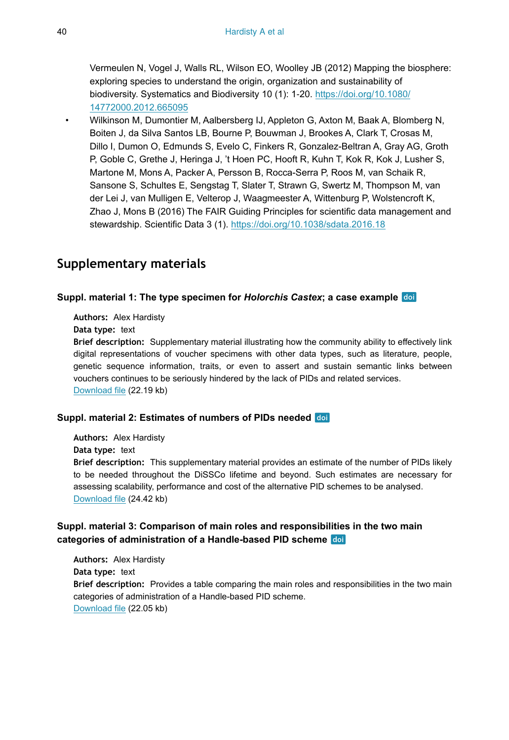Vermeulen N, Vogel J, Walls RL, Wilson EO, Woolley JB (2012) Mapping the biosphere: exploring species to understand the origin, organization and sustainability of biodiversity. Systematics and Biodiversity 10 (1): 1‑20. [https://doi.org/10.1080/](https://doi.org/10.1080/14772000.2012.665095) [14772000.2012.665095](https://doi.org/10.1080/14772000.2012.665095)

<span id="page-39-0"></span>• Wilkinson M, Dumontier M, Aalbersberg IJ, Appleton G, Axton M, Baak A, Blomberg N, Boiten J, da Silva Santos LB, Bourne P, Bouwman J, Brookes A, Clark T, Crosas M, Dillo I, Dumon O, Edmunds S, Evelo C, Finkers R, Gonzalez-Beltran A, Gray AG, Groth P, Goble C, Grethe J, Heringa J, 't Hoen PC, Hooft R, Kuhn T, Kok R, Kok J, Lusher S, Martone M, Mons A, Packer A, Persson B, Rocca-Serra P, Roos M, van Schaik R, Sansone S, Schultes E, Sengstag T, Slater T, Strawn G, Swertz M, Thompson M, van der Lei J, van Mulligen E, Velterop J, Waagmeester A, Wittenburg P, Wolstencroft K, Zhao J, Mons B (2016) The FAIR Guiding Principles for scientific data management and stewardship. Scientific Data 3 (1).<https://doi.org/10.1038/sdata.2016.18>

# **Supplementary materials**

#### <span id="page-39-1"></span>**Suppl. material 1: The type specimen for** *Holorchis Castex***; a case example**

**Authors:** Alex Hardisty

**Data type:** text

**Brief description:** Supplementary material illustrating how the community ability to effectively link digital representations of voucher specimens with other data types, such as literature, people, genetic sequence information, traits, or even to assert and sustain semantic links between vouchers continues to be seriously hindered by the lack of PIDs and related services. [Download file](https://arpha.pensoft.net/getfile.php?filename=oo_556151.docx) (22.19 kb)

#### <span id="page-39-2"></span>**Suppl. material 2: Estimates of numbers of PIDs needed**

**Authors:** Alex Hardisty **Data type:** text **Brief description:** This supplementary material provides an estimate of the number of PIDs likely to be needed throughout the DiSSCo lifetime and beyond. Such estimates are necessary for assessing scalability, performance and cost of the alternative PID schemes to be analysed. [Download file](https://arpha.pensoft.net/getfile.php?filename=oo_521396.docx) (24.42 kb)

#### <span id="page-39-3"></span>**Suppl. material 3: Comparison of main roles and responsibilities in the two main categories of administration of a Handle-based PID scheme**

**Authors:** Alex Hardisty **Data type:** text **Brief description:** Provides a table comparing the main roles and responsibilities in the two main categories of administration of a Handle-based PID scheme. [Download file](https://arpha.pensoft.net/getfile.php?filename=oo_556247.docx) (22.05 kb)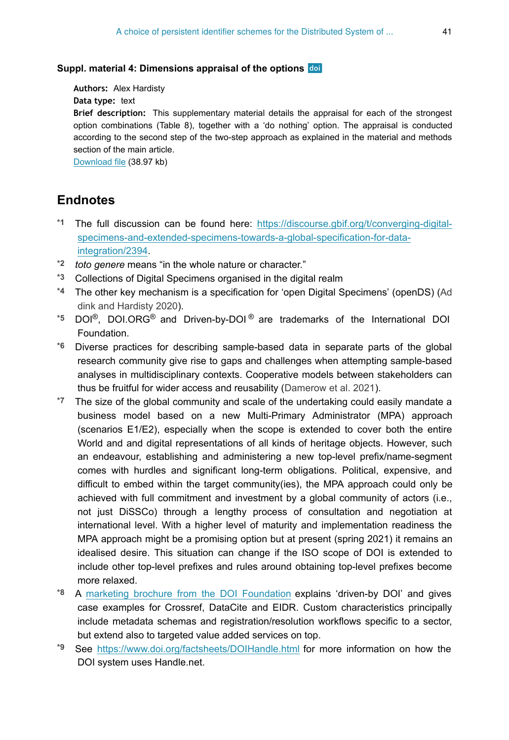#### <span id="page-40-5"></span>**Suppl. material 4: Dimensions appraisal of the options**

**Authors:** Alex Hardisty

**Data type:** text

**Brief description:** This supplementary material details the appraisal for each of the strongest option combinations (Table 8), together with a 'do nothing' option. The appraisal is conducted according to the second step of the two-step approach as explained in the material and methods section of the main article.

[Download file](https://arpha.pensoft.net/getfile.php?filename=oo_521398.docx) (38.97 kb)

## **Endnotes**

- <span id="page-40-0"></span>**\*1** The full discussion can be found here: [https://discourse.gbif.org/t/converging-digital](https://discourse.gbif.org/t/converging-digital-specimens-and-extended-specimens-towards-a-global-specification-for-data-integration/2394)[specimens-and-extended-specimens-towards-a-global-specification-for-data](https://discourse.gbif.org/t/converging-digital-specimens-and-extended-specimens-towards-a-global-specification-for-data-integration/2394)[integration/2394.](https://discourse.gbif.org/t/converging-digital-specimens-and-extended-specimens-towards-a-global-specification-for-data-integration/2394)
- <span id="page-40-1"></span>**\*2** *toto genere* means "in the whole nature or character."
- <span id="page-40-2"></span>**\*3** Collections of Digital Specimens organised in the digital realm
- <span id="page-40-3"></span>**\*4** The other key mechanism is a specification for 'open Digital Specimens' (openDS) [\(Ad](#page-36-11) [dink and Hardisty 2020](#page-36-11)).
- <span id="page-40-4"></span><sup>\*5</sup> DOI<sup>®</sup>, DOI.ORG<sup>®</sup> and Driven-by-DOI<sup>®</sup> are trademarks of the International DOI Foundation.
- <span id="page-40-6"></span>**\*6** Diverse practices for describing sample-based data in separate parts of the global research community give rise to gaps and challenges when attempting sample-based analyses in multidisciplinary contexts. Cooperative models between stakeholders can thus be fruitful for wider access and reusability [\(Damerow et al. 2021](#page-36-12)).
- <span id="page-40-7"></span>**\*7** The size of the global community and scale of the undertaking could easily mandate a business model based on a new Multi-Primary Administrator (MPA) approach (scenarios E1/E2), especially when the scope is extended to cover both the entire World and and digital representations of all kinds of heritage objects. However, such an endeavour, establishing and administering a new top-level prefix/name-segment comes with hurdles and significant long-term obligations. Political, expensive, and difficult to embed within the target community(ies), the MPA approach could only be achieved with full commitment and investment by a global community of actors (i.e., not just DiSSCo) through a lengthy process of consultation and negotiation at international level. With a higher level of maturity and implementation readiness the MPA approach might be a promising option but at present (spring 2021) it remains an idealised desire. This situation can change if the ISO scope of DOI is extended to include other top-level prefixes and rules around obtaining top-level prefixes become more relaxed.
- <span id="page-40-8"></span>**\*8** A [marketing brochure from the DOI Foundation](https://www.doi.org/driven_by_doi/DOI_Marketing_Brochure.pdf) explains 'driven-by DOI' and gives case examples for Crossref, DataCite and EIDR. Custom characteristics principally include metadata schemas and registration/resolution workflows specific to a sector, but extend also to targeted value added services on top.
- <span id="page-40-9"></span>**\*9** See <https://www.doi.org/factsheets/DOIHandle.html> for more information on how the DOI system uses Handle.net.